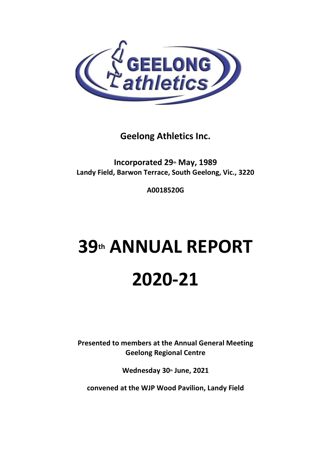

**Geelong Athletics Inc.**

**Incorporated 29th May, 1989 Landy Field, Barwon Terrace, South Geelong, Vic., 3220**

**A0018520G**

# **39th ANNUAL REPORT 2020-21**

**Presented to members at the Annual General Meeting Geelong Regional Centre**

**Wednesday 30th June, 2021**

**convened at the WJP Wood Pavilion, Landy Field**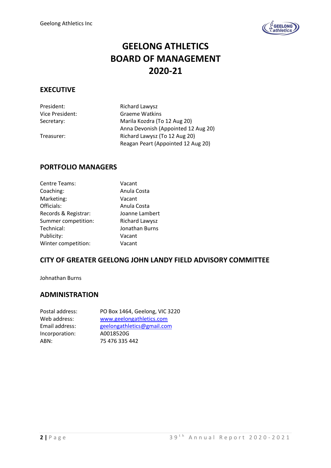

### **GEELONG ATHLETICS BOARD OF MANAGEMENT 2020-21**

### **EXECUTIVE**

President: Richard Lawysz

Vice President: Graeme Watkins Secretary: Marila Kozdra (To 12 Aug 20) Anna Devonish (Appointed 12 Aug 20) Treasurer: Richard Lawysz (To 12 Aug 20) Reagan Peart (Appointed 12 Aug 20)

### **PORTFOLIO MANAGERS**

| Centre Teams:        | Vacant         |
|----------------------|----------------|
| Coaching:            | Anula Costa    |
| Marketing:           | Vacant         |
| Officials:           | Anula Costa    |
| Records & Registrar: | Joanne Lambert |
| Summer competition:  | Richard Lawysz |
| Technical:           | Jonathan Burns |
| Publicity:           | Vacant         |
| Winter competition:  | Vacant         |

### **CITY OF GREATER GEELONG JOHN LANDY FIELD ADVISORY COMMITTEE**

Johnathan Burns

### **ADMINISTRATION**

| Postal address: | PO Box 1464, Geelong, VIC 3220 |
|-----------------|--------------------------------|
| Web address:    | www.geelongathletics.com       |
| Email address:  | geelongathletics@gmail.com     |
| Incorporation:  | A0018520G                      |
| ABN:            | 75 476 335 442                 |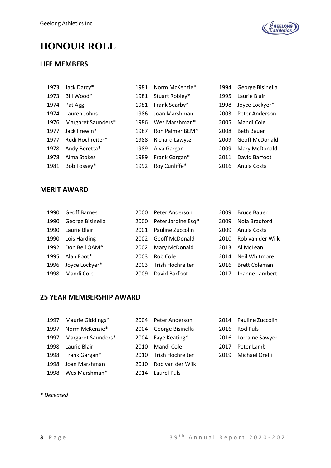

## **HONOUR ROLL**

### **LIFE MEMBERS**

| 1973 | Jack Darcy*        | 1981 | Norm McKenzie*        | 1994 | George Bisinella      |
|------|--------------------|------|-----------------------|------|-----------------------|
| 1973 | Bill Wood*         | 1981 | Stuart Robley*        | 1995 | Laurie Blair          |
| 1974 | Pat Agg            | 1981 | Frank Searby*         | 1998 | Joyce Lockyer*        |
| 1974 | Lauren Johns       | 1986 | Joan Marshman         | 2003 | Peter Anderson        |
| 1976 | Margaret Saunders* | 1986 | Wes Marshman*         | 2005 | Mandi Cole            |
| 1977 | Jack Frewin*       | 1987 | Ron Palmer BEM*       | 2008 | <b>Beth Bauer</b>     |
| 1977 | Rudi Hochreiter*   | 1988 | <b>Richard Lawysz</b> | 2009 | <b>Geoff McDonald</b> |
| 1978 | Andy Beretta*      | 1989 | Alva Gargan           | 2009 | Mary McDonald         |
| 1978 | Alma Stokes        | 1989 | Frank Gargan*         | 2011 | David Barfoot         |
| 1981 | Bob Fossey*        | 1992 | Roy Cunliffe*         | 2016 | Anula Costa           |
|      |                    |      |                       |      |                       |

### **MERIT AWARD**

| 1990 | <b>Geoff Barnes</b> | 2000 | Peter Anderson        | 2009 | <b>Bruce Bauer</b>   |
|------|---------------------|------|-----------------------|------|----------------------|
| 1990 | George Bisinella    | 2000 | Peter Jardine Esq*    | 2009 | Nola Bradford        |
| 1990 | Laurie Blair        | 2001 | Pauline Zuccolin      | 2009 | Anula Costa          |
| 1990 | Lois Harding        | 2002 | <b>Geoff McDonald</b> | 2010 | Rob van der Wilk     |
| 1992 | Don Bell OAM*       | 2002 | Mary McDonald         | 2013 | Al McLean            |
| 1995 | Alan Foot*          | 2003 | Rob Cole              | 2014 | Neil Whitmore        |
| 1996 | Joyce Lockyer*      | 2003 | Trish Hochreiter      | 2016 | <b>Brett Coleman</b> |
| 1998 | Mandi Cole          | 2009 | David Barfoot         | 2017 | Joanne Lambert       |

### **25 YEAR MEMBERSHIP AWARD**

| 1997 | Maurie Giddings*   | 2004 | Peter Anderson   |      | 2014 Pauline Zuccolin |
|------|--------------------|------|------------------|------|-----------------------|
| 1997 | Norm McKenzie*     | 2004 | George Bisinella | 2016 | Rod Puls              |
| 1997 | Margaret Saunders* | 2004 | Faye Keating*    |      | 2016 Lorraine Sawyer  |
| 1998 | Laurie Blair       | 2010 | Mandi Cole       | 2017 | Peter Lamb            |
| 1998 | Frank Gargan*      | 2010 | Trish Hochreiter | 2019 | Michael Orelli        |
| 1998 | Joan Marshman      | 2010 | Rob van der Wilk |      |                       |
| 1998 | Wes Marshman*      | 2014 | Laurel Puls      |      |                       |

### *\* Deceased*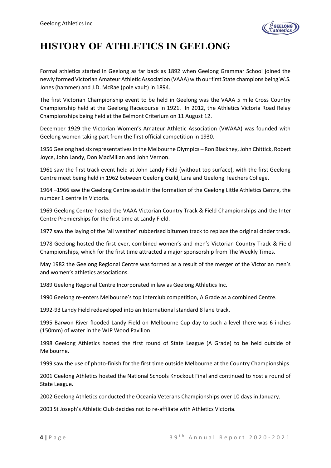

## **HISTORY OF ATHLETICS IN GEELONG**

Formal athletics started in Geelong as far back as 1892 when Geelong Grammar School joined the newly formed Victorian Amateur Athletic Association (VAAA) with our first State champions being W.S. Jones (hammer) and J.D. McRae (pole vault) in 1894.

The first Victorian Championship event to be held in Geelong was the VAAA 5 mile Cross Country Championship held at the Geelong Racecourse in 1921. In 2012, the Athletics Victoria Road Relay Championships being held at the Belmont Criterium on 11 August 12.

December 1929 the Victorian Women's Amateur Athletic Association (VWAAA) was founded with Geelong women taking part from the first official competition in 1930.

1956 Geelong had six representatives in the Melbourne Olympics – Ron Blackney, John Chittick, Robert Joyce, John Landy, Don MacMillan and John Vernon.

1961 saw the first track event held at John Landy Field (without top surface), with the first Geelong Centre meet being held in 1962 between Geelong Guild, Lara and Geelong Teachers College.

1964 –1966 saw the Geelong Centre assist in the formation of the Geelong Little Athletics Centre, the number 1 centre in Victoria.

1969 Geelong Centre hosted the VAAA Victorian Country Track & Field Championships and the Inter Centre Premierships for the first time at Landy Field.

1977 saw the laying of the 'all weather' rubberised bitumen track to replace the original cinder track.

1978 Geelong hosted the first ever, combined women's and men's Victorian Country Track & Field Championships, which for the first time attracted a major sponsorship from The Weekly Times.

May 1982 the Geelong Regional Centre was formed as a result of the merger of the Victorian men's and women's athletics associations.

1989 Geelong Regional Centre Incorporated in law as Geelong Athletics Inc.

1990 Geelong re-enters Melbourne's top Interclub competition, A Grade as a combined Centre.

1992-93 Landy Field redeveloped into an International standard 8 lane track.

1995 Barwon River flooded Landy Field on Melbourne Cup day to such a level there was 6 inches (150mm) of water in the WJP Wood Pavilion.

1998 Geelong Athletics hosted the first round of State League (A Grade) to be held outside of Melbourne.

1999 saw the use of photo-finish for the first time outside Melbourne at the Country Championships.

2001 Geelong Athletics hosted the National Schools Knockout Final and continued to host a round of State League.

2002 Geelong Athletics conducted the Oceania Veterans Championships over 10 days in January.

2003 St Joseph's Athletic Club decides not to re-affiliate with Athletics Victoria.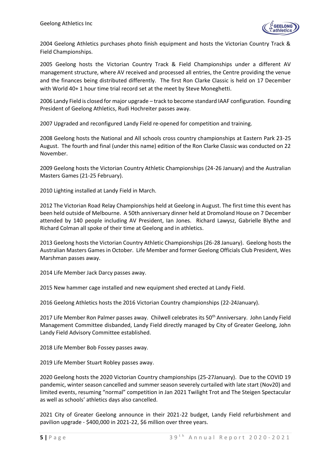

2004 Geelong Athletics purchases photo finish equipment and hosts the Victorian Country Track & Field Championships.

2005 Geelong hosts the Victorian Country Track & Field Championships under a different AV management structure, where AV received and processed all entries, the Centre providing the venue and the finances being distributed differently. The first Ron Clarke Classic is held on 17 December with World 40+ 1 hour time trial record set at the meet by Steve Moneghetti.

2006 Landy Field is closed for major upgrade – track to become standard IAAF configuration. Founding President of Geelong Athletics, Rudi Hochreiter passes away.

2007 Upgraded and reconfigured Landy Field re-opened for competition and training.

2008 Geelong hosts the National and All schools cross country championships at Eastern Park 23-25 August. The fourth and final (under this name) edition of the Ron Clarke Classic was conducted on 22 November.

2009 Geelong hosts the Victorian Country Athletic Championships (24-26 January) and the Australian Masters Games (21-25 February).

2010 Lighting installed at Landy Field in March.

2012 The Victorian Road Relay Championships held at Geelong in August. The first time this event has been held outside of Melbourne. A 50th anniversary dinner held at Dromoland House on 7 December attended by 140 people including AV President, Ian Jones. Richard Lawysz, Gabrielle Blythe and Richard Colman all spoke of their time at Geelong and in athletics.

2013 Geelong hosts the Victorian Country Athletic Championships (26-28 January). Geelong hosts the Australian Masters Games in October. Life Member and former Geelong Officials Club President, Wes Marshman passes away.

2014 Life Member Jack Darcy passes away.

2015 New hammer cage installed and new equipment shed erected at Landy Field.

2016 Geelong Athletics hosts the 2016 Victorian Country championships (22-24January).

2017 Life Member Ron Palmer passes away. Chilwell celebrates its 50<sup>th</sup> Anniversary. John Landy Field Management Committee disbanded, Landy Field directly managed by City of Greater Geelong, John Landy Field Advisory Committee established.

2018 Life Member Bob Fossey passes away.

2019 Life Member Stuart Robley passes away.

2020 Geelong hosts the 2020 Victorian Country championships (25-27January). Due to the COVID 19 pandemic, winter season cancelled and summer season severely curtailed with late start (Nov20) and limited events, resuming "normal" competition in Jan 2021 Twilight Trot and The Steigen Spectacular as well as schools' athletics days also cancelled.

2021 City of Greater Geelong announce in their 2021-22 budget, Landy Field refurbishment and pavilion upgrade - \$400,000 in 2021-22, \$6 million over three years.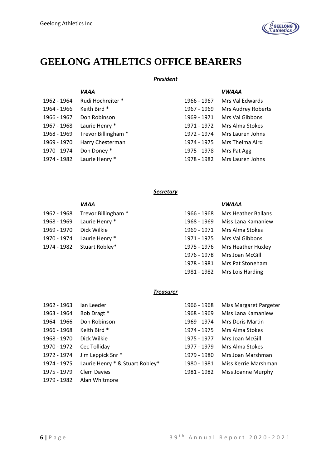

### **GEELONG ATHLETICS OFFICE BEARERS**

### *President*

|             | <b>VAAA</b>         |             | <b>VWAAA</b>       |
|-------------|---------------------|-------------|--------------------|
| 1962 - 1964 | Rudi Hochreiter *   | 1966 - 1967 | Mrs Val Edwards    |
| 1964 - 1966 | Keith Bird *        | 1967 - 1969 | Mrs Audrey Roberts |
| 1966 - 1967 | Don Robinson        | 1969 - 1971 | Mrs Val Gibbons    |
| 1967 - 1968 | Laurie Henry *      | 1971 - 1972 | Mrs Alma Stokes    |
| 1968 - 1969 | Trevor Billingham * | 1972 - 1974 | Mrs Lauren Johns   |
| 1969 - 1970 | Harry Chesterman    | 1974 - 1975 | Mrs Thelma Aird    |
| 1970 - 1974 | Don Doney*          | 1975 - 1978 | Mrs Pat Agg        |
| 1974 - 1982 | Laurie Henry *      | 1978 - 1982 | Mrs Lauren Johns   |
|             |                     |             |                    |

### *Secretary*

|             | <b>VAAA</b>                     |             | <b>VWAAA</b>                   |
|-------------|---------------------------------|-------------|--------------------------------|
|             | 1962 - 1968 Trevor Billingham * | 1966 - 1968 | Mrs Heather Ballans            |
|             | 1968 - 1969 Laurie Henry *      | 1968 - 1969 | Miss Lana Kamaniew             |
| 1969 - 1970 | Dick Wilkie                     | 1969 - 1971 | Mrs Alma Stokes                |
|             | 1970 - 1974 Laurie Henry *      | 1971 - 1975 | Mrs Val Gibbons                |
|             | 1974 - 1982 Stuart Robley*      |             | 1975 - 1976 Mrs Heather Huxley |
|             |                                 | 1976 - 1978 | Mrs Joan McGill                |
|             |                                 |             | 1978 - 1981 Mrs Pat Stoneham   |

#### *Treasurer*

| 1962 - 1963 | Ian Leeder                      | 1966 - 1968 | Miss Margaret Pargeter  |
|-------------|---------------------------------|-------------|-------------------------|
| 1963 - 1964 | Bob Dragt *                     | 1968 - 1969 | Miss Lana Kamaniew      |
| 1964 - 1966 | Don Robinson                    | 1969 - 1974 | <b>Mrs Doris Martin</b> |
| 1966 - 1968 | Keith Bird *                    | 1974 - 1975 | Mrs Alma Stokes         |
| 1968 - 1970 | Dick Wilkie                     | 1975 - 1977 | Mrs Joan McGill         |
| 1970 - 1972 | Cec Tolliday                    | 1977 - 1979 | Mrs Alma Stokes         |
| 1972 - 1974 | Jim Leppick Snr *               | 1979 - 1980 | Mrs Joan Marshman       |
| 1974 - 1975 | Laurie Henry * & Stuart Robley* | 1980 - 1981 | Miss Kerrie Marshman    |
| 1975 - 1979 | <b>Clem Davies</b>              | 1981 - 1982 | Miss Joanne Murphy      |
| 1979 - 1982 | Alan Whitmore                   |             |                         |

1981 - 1982 Mrs Lois Harding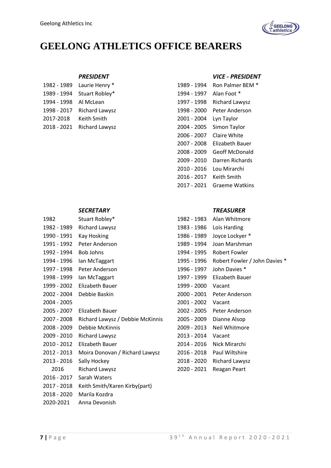

### **GEELONG ATHLETICS OFFICE BEARERS**

|                       | 1982 - 1989 Laurie Henry * |                         | 1989 - 1994 Ron Palmer BEN |
|-----------------------|----------------------------|-------------------------|----------------------------|
|                       | 1989 - 1994 Stuart Robley* | 1994 - 1997 Alan Foot * |                            |
| 1994 - 1998 Al McLean |                            |                         | 1997 - 1998 Richard Lawysz |
|                       | 1998 - 2017 Richard Lawysz |                         | 1998 - 2000 Peter Anderson |
| 2017-2018 Keith Smith |                            | 2001 - 2004 Lyn Taylor  |                            |
|                       | 2018 - 2021 Richard Lawysz |                         | 2004 - 2005 Simon Taylor   |
|                       |                            |                         |                            |

| 1982        | Stuart Robley*                   | 1982 - 1983 | Alan Whitmore          |
|-------------|----------------------------------|-------------|------------------------|
| 1982 - 1989 | <b>Richard Lawysz</b>            | 1983 - 1986 | Lois Harding           |
| 1990 - 1991 | <b>Kay Hosking</b>               | 1986 - 1989 | Joyce Lockyer *        |
| 1991 - 1992 | Peter Anderson                   | 1989 - 1994 | Joan Marshman          |
| 1992 - 1994 | Bob Johns                        | 1994 - 1995 | <b>Robert Fowler</b>   |
| 1994 - 1996 | lan McTaggart                    | 1995 - 1996 | Robert Fowler /        |
| 1997 - 1998 | Peter Anderson                   | 1996 - 1997 | John Davies *          |
| 1998 - 1999 | lan McTaggart                    | 1997 - 1999 | <b>Elizabeth Bauer</b> |
| 1999 - 2002 | Elizabeth Bauer                  | 1999 - 2000 | Vacant                 |
| 2002 - 2004 | Debbie Baskin                    | 2000 - 2001 | Peter Anderson         |
| 2004 - 2005 |                                  | 2001 - 2002 | Vacant                 |
| 2005 - 2007 | <b>Elizabeth Bauer</b>           | 2002 - 2005 | Peter Anderson         |
| 2007 - 2008 | Richard Lawysz / Debbie McKinnis | 2005 - 2009 | Dianne Alsop           |
| 2008 - 2009 | Debbie McKinnis                  | 2009 - 2013 | Neil Whitmore          |
| 2009 - 2010 | <b>Richard Lawysz</b>            | 2013 - 2014 | Vacant                 |
| 2010 - 2012 | Elizabeth Bauer                  | 2014 - 2016 | Nick Mirarchi          |
| 2012 - 2013 | Moira Donovan / Richard Lawysz   | 2016 - 2018 | Paul Wiltshire         |
| 2013 - 2016 | Sally Hockey                     | 2018 - 2020 | <b>Richard Lawysz</b>  |
| 2016        | <b>Richard Lawysz</b>            | 2020 - 2021 | Reagan Peart           |
| 2016 - 2017 | Sarah Waters                     |             |                        |
| 2017 - 2018 | Keith Smith/Karen Kirby(part)    |             |                        |
| 2018 - 2020 | Marila Kozdra                    |             |                        |

<sup>2020-2021</sup> Anna Devonish

### *PRESIDENT VICE - PRESIDENT*

| 1982 - 1989 | Laurie Henry *        | 1989 - 1994 | Ron Palmer BEM *       |
|-------------|-----------------------|-------------|------------------------|
| 1989 - 1994 | Stuart Robley*        | 1994 - 1997 | Alan Foot *            |
| 1994 - 1998 | Al McLean             | 1997 - 1998 | <b>Richard Lawysz</b>  |
| 1998 - 2017 | Richard Lawysz        | 1998 - 2000 | Peter Anderson         |
| 2017-2018   | Keith Smith           | 2001 - 2004 | Lyn Taylor             |
| 2018 - 2021 | <b>Richard Lawysz</b> | 2004 - 2005 | Simon Taylor           |
|             |                       | 2006 - 2007 | Claire White           |
|             |                       | 2007 - 2008 | <b>Elizabeth Bauer</b> |
|             |                       | 2008 - 2009 | <b>Geoff McDonald</b>  |
|             |                       | 2009 - 2010 | Darren Richards        |
|             |                       | 2010 - 2016 | Lou Mirarchi           |
|             |                       | 2016 - 2017 | Keith Smith            |
|             |                       | 2017 - 2021 | <b>Graeme Watkins</b>  |

### *SECRETARY TREASURER*

| 1982        | Stuart Robley*                   | 1982 - 1983 | Alan Whitmore                 |
|-------------|----------------------------------|-------------|-------------------------------|
| 1982 - 1989 | Richard Lawysz                   | 1983 - 1986 | Lois Harding                  |
| 1990 - 1991 | Kay Hosking                      | 1986 - 1989 | Joyce Lockyer *               |
| 1991 - 1992 | Peter Anderson                   | 1989 - 1994 | Joan Marshman                 |
| 1992 - 1994 | Bob Johns                        | 1994 - 1995 | <b>Robert Fowler</b>          |
| 1994 - 1996 | lan McTaggart                    | 1995 - 1996 | Robert Fowler / John Davies * |
| 1997 - 1998 | Peter Anderson                   | 1996 - 1997 | John Davies *                 |
| 1998 - 1999 | Ian McTaggart                    | 1997 - 1999 | Elizabeth Bauer               |
| 1999 - 2002 | Elizabeth Bauer                  | 1999 - 2000 | Vacant                        |
| 2002 - 2004 | Debbie Baskin                    | 2000 - 2001 | Peter Anderson                |
| 2004 - 2005 |                                  | 2001 - 2002 | Vacant                        |
| 2005 - 2007 | Elizabeth Bauer                  | 2002 - 2005 | Peter Anderson                |
| 2007 - 2008 | Richard Lawysz / Debbie McKinnis | 2005 - 2009 | Dianne Alsop                  |
| 2008 - 2009 | Debbie McKinnis                  | 2009 - 2013 | Neil Whitmore                 |
| 2009 - 2010 | Richard Lawysz                   | 2013 - 2014 | Vacant                        |
| 2010 - 2012 | Elizabeth Bauer                  | 2014 - 2016 | Nick Mirarchi                 |
| 2012 - 2013 | Moira Donovan / Richard Lawysz   | 2016 - 2018 | Paul Wiltshire                |
| 2013 - 2016 | Sally Hockey                     | 2018 - 2020 | Richard Lawysz                |
| 2016        | Richard Lawysz                   | 2020 - 2021 | Reagan Peart                  |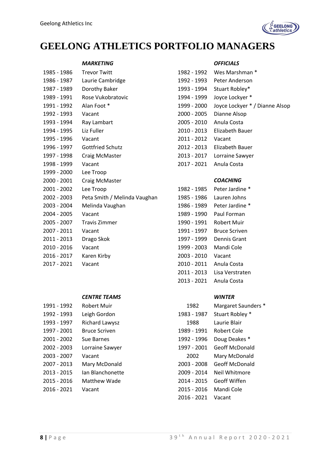

### **GEELONG ATHLETICS PORTFOLIO MANAGERS**

#### *MARKETING OFFICIALS*

| 1985 - 1986 | <b>Trevor Twitt</b>          | 1982 - 1992 | Wes Marshman *         |
|-------------|------------------------------|-------------|------------------------|
| 1986 - 1987 | Laurie Cambridge             | 1992 - 1993 | Peter Anderson         |
| 1987 - 1989 | Dorothy Baker                | 1993 - 1994 | Stuart Robley*         |
| 1989 - 1991 | Rose Vukobratovic            | 1994 - 1999 | Joyce Lockyer *        |
| 1991 - 1992 | Alan Foot *                  | 1999 - 2000 | Joyce Lockyer * /      |
| 1992 - 1993 | Vacant                       | 2000 - 2005 | Dianne Alsop           |
| 1993 - 1994 | Ray Lambart                  | 2005 - 2010 | Anula Costa            |
| 1994 - 1995 | Liz Fuller                   | 2010 - 2013 | Elizabeth Bauer        |
| 1995 - 1996 | Vacant                       | 2011 - 2012 | Vacant                 |
| 1996 - 1997 | <b>Gottfried Schutz</b>      | 2012 - 2013 | <b>Elizabeth Bauer</b> |
| 1997 - 1998 | Craig McMaster               | 2013 - 2017 | Lorraine Sawyer        |
| 1998 - 1999 | Vacant                       | 2017 - 2021 | Anula Costa            |
| 1999 - 2000 | Lee Troop                    |             |                        |
| 2000 - 2001 | Craig McMaster               |             | <b>COACHING</b>        |
| 2001 - 2002 | Lee Troop                    | 1982 - 1985 | Peter Jardine *        |
| 2002 - 2003 | Peta Smith / Melinda Vaughan | 1985 - 1986 | Lauren Johns           |
| 2003 - 2004 | Melinda Vaughan              | 1986 - 1989 | Peter Jardine *        |
| 2004 - 2005 | Vacant                       | 1989 - 1990 | Paul Forman            |
| 2005 - 2007 | <b>Travis Zimmer</b>         | 1990 - 1991 | Robert Muir            |
| 2007 - 2011 | Vacant                       | 1991 - 1997 | <b>Bruce Scriven</b>   |
| 2011 - 2013 | Drago Skok                   | 1997 - 1999 | Dennis Grant           |
| 2010 - 2016 | Vacant                       | 1999 - 2003 | Mandi Cole             |
| 2016 - 2017 | Karen Kirby                  | 2003 - 2010 | Vacant                 |
| 2017 - 2021 | Vacant                       | 2010 - 2011 | Anula Costa            |

#### *CENTRE TEAMS WINTER*

| 1991 - 1992 | <b>Robert Muir</b>   | 1982        | Margaret Saund     |
|-------------|----------------------|-------------|--------------------|
| 1992 - 1993 | Leigh Gordon         | 1983 - 1987 | Stuart Robley *    |
| 1993 - 1997 | Richard Lawysz       | 1988        | Laurie Blair       |
| 1997 - 2001 | <b>Bruce Scriven</b> | 1989 - 1991 | <b>Robert Cole</b> |
| 2001 - 2002 | Sue Barnes           | 1992 - 1996 | Doug Deakes *      |
| 2002 - 2003 | Lorraine Sawyer      | 1997 - 2001 | Geoff McDonald     |
| 2003 - 2007 | Vacant               | 2002        | Mary McDonald      |
| 2007 - 2013 | Mary McDonald        | 2003 - 2008 | Geoff McDonald     |
| 2013 - 2015 | Ian Blanchonette     | 2009 - 2014 | Neil Whitmore      |
| 2015 - 2016 | Matthew Wade         | 2014 - 2015 | Geoff Wiffen       |
| 2016 - 2021 | Vacant               | 2015 - 2016 | Mandi Cole         |

| 1985 - 1986 | <b>Trevor Twitt</b>     | 1982 - 1992 | Wes Marshman *                 |
|-------------|-------------------------|-------------|--------------------------------|
| 1986 - 1987 | Laurie Cambridge        | 1992 - 1993 | Peter Anderson                 |
| 1987 - 1989 | Dorothy Baker           | 1993 - 1994 | Stuart Robley*                 |
| 1989 - 1991 | Rose Vukobratovic       | 1994 - 1999 | Joyce Lockyer *                |
| 1991 - 1992 | Alan Foot *             | 1999 - 2000 | Joyce Lockyer * / Dianne Alsop |
| 1992 - 1993 | Vacant                  | 2000 - 2005 | Dianne Alsop                   |
| 1993 - 1994 | Ray Lambart             | 2005 - 2010 | Anula Costa                    |
| 1994 - 1995 | Liz Fuller              | 2010 - 2013 | Elizabeth Bauer                |
| 1995 - 1996 | Vacant                  | 2011 - 2012 | Vacant                         |
| 1996 - 1997 | <b>Gottfried Schutz</b> | 2012 - 2013 | Elizabeth Bauer                |
| 1997 - 1998 | Craig McMaster          | 2013 - 2017 | Lorraine Sawyer                |
| 1998 - 1999 | Vacant                  | 2017 - 2021 | Anula Costa                    |

### 2000 - 2001 Craig McMaster *COACHING*

| 1982 - 1985 | Peter Jardine * |
|-------------|-----------------|
| 1985 - 1986 | Lauren Johns    |
| 1986 - 1989 | Peter Jardine   |
| 1989 - 1990 | Paul Forman     |
| 1990 - 1991 | Robert Muir     |
| 1991 - 1997 | Bruce Scriven   |
| 1997 - 1999 | Dennis Grant    |
| 1999 - 2003 | Mandi Cole      |
| 2003 - 2010 | Vacant          |
| 2010 - 2011 | Anula Costa     |
| 2011 - 2013 | Lisa Verstraten |
| 2013 - 2021 | Anula Costa     |

| 1991 - 1992 | Robert Muir          | 1982        | Margaret Saunders *   |
|-------------|----------------------|-------------|-----------------------|
| 1992 - 1993 | Leigh Gordon         | 1983 - 1987 | Stuart Robley *       |
| 1993 - 1997 | Richard Lawysz       | 1988        | Laurie Blair          |
| 1997 - 2001 | <b>Bruce Scriven</b> | 1989 - 1991 | Robert Cole           |
| 2001 - 2002 | Sue Barnes           | 1992 - 1996 | Doug Deakes *         |
| 2002 - 2003 | Lorraine Sawyer      | 1997 - 2001 | <b>Geoff McDonald</b> |
| 2003 - 2007 | Vacant               | 2002        | Mary McDonald         |
| 2007 - 2013 | Mary McDonald        | 2003 - 2008 | <b>Geoff McDonald</b> |
| 2013 - 2015 | Ian Blanchonette     | 2009 - 2014 | Neil Whitmore         |
| 2015 - 2016 | Matthew Wade         | 2014 - 2015 | Geoff Wiffen          |
| 2016 - 2021 | Vacant               | 2015 - 2016 | Mandi Cole            |
|             |                      | 2016 - 2021 | Vacant                |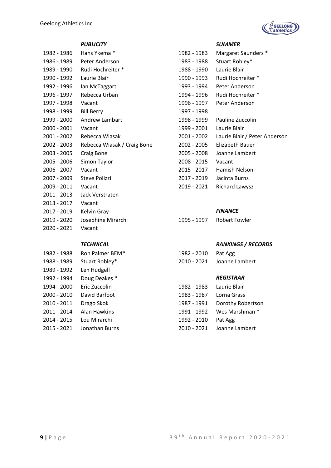

| 1982 - 1986 | Hans Ykema *                | 1982 - 1983              | Margaret Saunders *                       |
|-------------|-----------------------------|--------------------------|-------------------------------------------|
|             | 1986 - 1989 Peter Anderson  | 1983 - 1988              | Stuart Robley*                            |
| 1989 - 1990 | Rudi Hochreiter *           | 1988 - 1990              | Laurie Blair                              |
| 1990 - 1992 | Laurie Blair                | 1990 - 1993              | Rudi Hochreiter *                         |
| 1992 - 1996 | Ian McTaggart               | 1993 - 1994              | Peter Anderson                            |
| 1996 - 1997 | Rebecca Urban               | 1994 - 1996              | Rudi Hochreiter *                         |
| 1997 - 1998 | Vacant                      | 1996 - 1997              | Peter Anderson                            |
| 1998 - 1999 | <b>Bill Berry</b>           | 1997 - 1998              |                                           |
| 1999 - 2000 | Andrew Lambart              | 1998 - 1999              | Pauline Zuccolin                          |
| 2000 - 2001 | Vacant                      | 1999 - 2001 Laurie Blair |                                           |
| 2001 - 2002 | Rebecca Wiasak              |                          | 2001 - 2002 Laurie Blair / Peter Anderson |
| 2002 - 2003 | Rebecca Wiasak / Craig Bone | 2002 - 2005              | Elizabeth Bauer                           |
| 2003 - 2005 | Craig Bone                  | 2005 - 2008              | Joanne Lambert                            |
| 2005 - 2006 | Simon Taylor                | 2008 - 2015              | Vacant                                    |
| 2006 - 2007 | Vacant                      | 2015 - 2017              | Hamish Nelson                             |
| 2007 - 2009 | Steve Polizzi               | 2017 - 2019              | Jacinta Burns                             |
| 2009 - 2011 | Vacant                      | 2019 - 2021              | <b>Richard Lawysz</b>                     |
| 2011 - 2013 | Jack Verstraten             |                          |                                           |
| 2013 - 2017 | Vacant                      |                          |                                           |
| 2017 - 2019 | Kelvin Gray                 |                          | <b>FINANCE</b>                            |
| 2019 - 2020 | Josephine Mirarchi          | 1995 - 1997              | <b>Robert Fowler</b>                      |
| 2020 - 2021 | Vacant                      |                          |                                           |
|             |                             |                          |                                           |

| 1982 - 1988 | Ron Palmer BEM* | 1982 - 2010 | Pat Agg          |
|-------------|-----------------|-------------|------------------|
| 1988 - 1989 | Stuart Robley*  | 2010 - 2021 | Joanne Lambert   |
| 1989 - 1992 | Len Hudgell     |             |                  |
| 1992 - 1994 | Doug Deakes *   |             | <b>REGISTRAR</b> |
| 1994 - 2000 | Eric Zuccolin   | 1982 - 1983 | Laurie Blair     |
| 2000 - 2010 | David Barfoot   | 1983 - 1987 | Lorna Grass      |
| 2010 - 2011 | Drago Skok      | 1987 - 1991 | Dorothy Robertso |
| 2011 - 2014 | Alan Hawkins    | 1991 - 1992 | Wes Marshman *   |
| 2014 - 2015 | Lou Mirarchi    | 1992 - 2010 | Pat Agg          |
| 2015 - 2021 | Jonathan Burns  | 2010 - 2021 | Joanne Lambert   |

#### *PUBLICITY SUMMER*

| 1982 - 1983 | Margaret Saunders *           |
|-------------|-------------------------------|
| 1983 - 1988 | Stuart Robley*                |
| 1988 - 1990 | Laurie Blair                  |
| 1990 - 1993 | Rudi Hochreiter *             |
| 1993 - 1994 | Peter Anderson                |
| 1994 - 1996 | Rudi Hochreiter *             |
| 1996 - 1997 | Peter Anderson                |
| 1997 - 1998 |                               |
| 1998 - 1999 | Pauline Zuccolin              |
| 1999 - 2001 | Laurie Blair                  |
| 2001 - 2002 | Laurie Blair / Peter Andersor |
| 2002 - 2005 | Elizabeth Bauer               |
| 2005 - 2008 | Joanne Lambert                |
| 2008 - 2015 | Vacant                        |
| 2015 - 2017 | Hamish Nelson                 |
| 2017 - 2019 | Jacinta Burns                 |
| 2019 - 2021 | Richard Lawysz                |
|             |                               |

| 1995 - 1997 | <b>Robert Fowler</b> |
|-------------|----------------------|
|             |                      |

### *TECHNICAL RANKINGS / RECORDS*

| 1982 - 2010 | Pat Agg        |
|-------------|----------------|
| 2010 - 2021 | Joanne Lambert |

### 1992 - 1994 Doug Deakes \* *REGISTRAR*

|                        | 1994 - 2000 Eric Zuccolin  | 1982 - 1983 Laurie Blair |                               |
|------------------------|----------------------------|--------------------------|-------------------------------|
|                        | 2000 - 2010 David Barfoot  | 1983 - 1987 Lorna Grass  |                               |
| 2010 - 2011 Drago Skok |                            |                          | 1987 - 1991 Dorothy Robertson |
|                        | 2011 - 2014 Alan Hawkins   |                          | 1991 - 1992 Wes Marshman *    |
|                        | 2014 - 2015 Lou Mirarchi   | 1992 - 2010 Pat Agg      |                               |
|                        | 2015 - 2021 Jonathan Burns |                          | 2010 - 2021 Joanne Lambert    |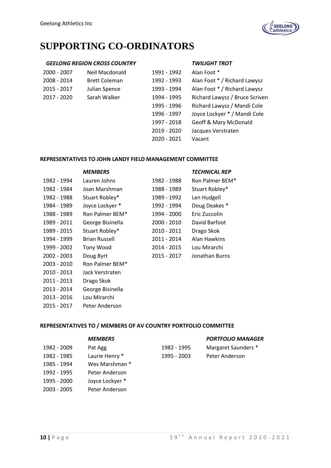

## **SUPPORTING CO-ORDINATORS**

#### *GEELONG REGION CROSS COUNTRY TWILIGHT TROT*

| 2000 - 2007 | Neil Macdonald       | 1991 - 1992 | Alan Foot *                      |
|-------------|----------------------|-------------|----------------------------------|
| 2008 - 2014 | <b>Brett Coleman</b> | 1992 - 1993 | Alan Foot * / Richard Lawysz     |
| 2015 - 2017 | Julian Spence        | 1993 - 1994 | Alan Foot * / Richard Lawysz     |
| 2017 - 2020 | Sarah Walker         | 1994 - 1995 | Richard Lawysz / Bruce Scriven   |
|             |                      | 1995 - 1996 | Richard Lawysz / Mandi Cole      |
|             |                      | 1996 - 1997 | Joyce Lockyer * / Mandi Cole     |
|             |                      | 1997 - 2018 | <b>Geoff &amp; Mary McDonald</b> |
|             |                      | 2019 - 2020 | Jacques Verstraten               |
|             |                      | 2020 - 2021 | Vacant                           |

#### **REPRESENTATIVES TO JOHN LANDY FIELD MANAGEMENT COMMITTEE**

|             | <b>MEMBERS</b>       |             | <b>TECHNICAL REP</b> |
|-------------|----------------------|-------------|----------------------|
| 1982 - 1994 | Lauren Johns         | 1982 - 1988 | Ron Palmer BEM*      |
| 1982 - 1984 | Joan Marshman        | 1988 - 1989 | Stuart Robley*       |
| 1982 - 1988 | Stuart Robley*       | 1989 - 1992 | Len Hudgell          |
| 1984 - 1989 | Joyce Lockyer *      | 1992 - 1994 | Doug Deakes *        |
| 1988 - 1989 | Ron Palmer BEM*      | 1994 - 2000 | Eric Zuccolin        |
| 1989 - 2011 | George Bisinella     | 2000 - 2010 | David Barfoot        |
| 1989 - 2015 | Stuart Robley*       | 2010 - 2011 | Drago Skok           |
| 1994 - 1999 | <b>Brian Russell</b> | 2011 - 2014 | Alan Hawkins         |
| 1999 - 2002 | Tony Wood            | 2014 - 2015 | Lou Mirarchi         |
| 2002 - 2003 | Doug Byrt            | 2015 - 2017 | Jonathan Burns       |
| 2003 - 2010 | Ron Palmer BEM*      |             |                      |
| 2010 - 2013 | Jack Verstraten      |             |                      |
| 2011 - 2013 | Drago Skok           |             |                      |
| 2013 - 2014 | George Bisinella     |             |                      |
|             |                      |             |                      |

2013 - 2016 Lou Mirarchi

2015 - 2017 Peter Anderson

### **REPRESENTATIVES TO / MEMBERS OF AV COUNTRY PORTFOLIO COMMITTEE**

|             | <b>MEMBERS</b>  |             | <b>PORTFOLIO MANAGER</b> |
|-------------|-----------------|-------------|--------------------------|
| 1982 - 2009 | Pat Agg         | 1982 - 1995 | Margaret Saunders *      |
| 1982 - 1985 | Laurie Henry *  | 1995 - 2003 | Peter Anderson           |
| 1985 - 1994 | Wes Marshman *  |             |                          |
| 1992 - 1995 | Peter Anderson  |             |                          |
| 1995 - 2000 | Joyce Lockyer * |             |                          |
| 2003 - 2005 | Peter Anderson  |             |                          |
|             |                 |             |                          |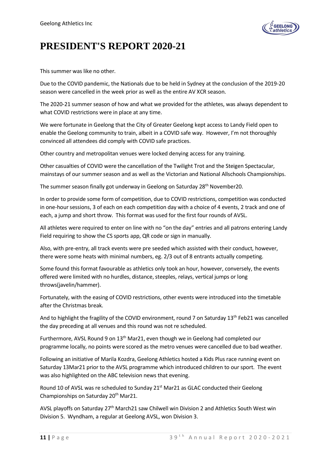

## **PRESIDENT'S REPORT 2020-21**

This summer was like no other.

Due to the COVID pandemic, the Nationals due to be held in Sydney at the conclusion of the 2019-20 season were cancelled in the week prior as well as the entire AV XCR season.

The 2020-21 summer season of how and what we provided for the athletes, was always dependent to what COVID restrictions were in place at any time.

We were fortunate in Geelong that the City of Greater Geelong kept access to Landy Field open to enable the Geelong community to train, albeit in a COVID safe way. However, I'm not thoroughly convinced all attendees did comply with COVID safe practices.

Other country and metropolitan venues were locked denying access for any training.

Other casualties of COVID were the cancellation of the Twilight Trot and the Steigen Spectacular, mainstays of our summer season and as well as the Victorian and National Allschools Championships.

The summer season finally got underway in Geelong on Saturday 28<sup>th</sup> November20.

In order to provide some form of competition, due to COVID restrictions, competition was conducted in one-hour sessions, 3 of each on each competition day with a choice of 4 events, 2 track and one of each, a jump and short throw. This format was used for the first four rounds of AVSL.

All athletes were required to enter on line with no "on the day" entries and all patrons entering Landy Field requiring to show the CS sports app, QR code or sign in manually.

Also, with pre-entry, all track events were pre seeded which assisted with their conduct, however, there were some heats with minimal numbers, eg. 2/3 out of 8 entrants actually competing.

Some found this format favourable as athletics only took an hour, however, conversely, the events offered were limited with no hurdles, distance, steeples, relays, vertical jumps or long throws(javelin/hammer).

Fortunately, with the easing of COVID restrictions, other events were introduced into the timetable after the Christmas break.

And to highlight the fragility of the COVID environment, round 7 on Saturday  $13<sup>th</sup>$  Feb21 was cancelled the day preceding at all venues and this round was not re scheduled.

Furthermore, AVSL Round 9 on 13th Mar21, even though we in Geelong had completed our programme locally, no points were scored as the metro venues were cancelled due to bad weather.

Following an initiative of Marila Kozdra, Geelong Athletics hosted a Kids Plus race running event on Saturday 13Mar21 prior to the AVSL programme which introduced children to our sport. The event was also highlighted on the ABC television news that evening.

Round 10 of AVSL was re scheduled to Sunday 21<sup>st</sup> Mar21 as GLAC conducted their Geelong Championships on Saturday 20<sup>th</sup> Mar21.

AVSL playoffs on Saturday 27<sup>th</sup> March21 saw Chilwell win Division 2 and Athletics South West win Division 5. Wyndham, a regular at Geelong AVSL, won Division 3.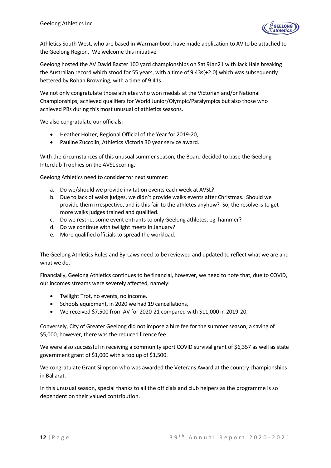

Athletics South West, who are based in Warrnambool, have made application to AV to be attached to the Geelong Region. We welcome this initiative.

Geelong hosted the AV David Baxter 100 yard championships on Sat 9Jan21 with Jack Hale breaking the Australian record which stood for 55 years, with a time of 9.43s(+2.0) which was subsequently bettered by Rohan Browning, with a time of 9.41s.

We not only congratulate those athletes who won medals at the Victorian and/or National Championships, achieved qualifiers for World Junior/Olympic/Paralympics but also those who achieved PBs during this most unusual of athletics seasons.

We also congratulate our officials:

- Heather Holzer, Regional Official of the Year for 2019-20,
- Pauline Zuccolin, Athletics Victoria 30 year service award.

With the circumstances of this unusual summer season, the Board decided to base the Geelong Interclub Trophies on the AVSL scoring.

Geelong Athletics need to consider for next summer:

- a. Do we/should we provide invitation events each week at AVSL?
- b. Due to lack of walks judges, we didn't provide walks events after Christmas. Should we provide them irrespective, and is this fair to the athletes anyhow? So, the resolve is to get more walks judges trained and qualified.
- c. Do we restrict some event entrants to only Geelong athletes, eg. hammer?
- d. Do we continue with twilight meets in January?
- e. More qualified officials to spread the workload.

The Geelong Athletics Rules and By-Laws need to be reviewed and updated to reflect what we are and what we do.

Financially, Geelong Athletics continues to be financial, however, we need to note that, due to COVID, our incomes streams were severely affected, namely:

- Twilight Trot, no events, no income.
- Schools equipment, in 2020 we had 19 cancellations,
- We received \$7,500 from AV for 2020-21 compared with \$11,000 in 2019-20.

Conversely, City of Greater Geelong did not impose a hire fee for the summer season, a saving of \$5,000, however, there was the reduced licence fee.

We were also successful in receiving a community sport COVID survival grant of \$6,357 as well as state government grant of \$1,000 with a top up of \$1,500.

We congratulate Grant Simpson who was awarded the Veterans Award at the country championships in Ballarat.

In this unusual season, special thanks to all the officials and club helpers as the programme is so dependent on their valued contribution.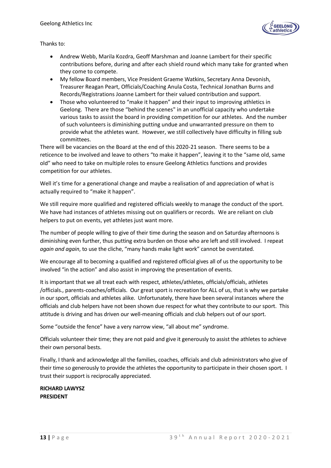

Thanks to:

- Andrew Webb, Marila Kozdra, Geoff Marshman and Joanne Lambert for their specific contributions before, during and after each shield round which many take for granted when they come to compete.
- My fellow Board members, Vice President Graeme Watkins, Secretary Anna Devonish, Treasurer Reagan Peart, Officials/Coaching Anula Costa, Technical Jonathan Burns and Records/Registrations Joanne Lambert for their valued contribution and support.
- Those who volunteered to "make it happen" and their input to improving athletics in Geelong. There are those "behind the scenes" in an unofficial capacity who undertake various tasks to assist the board in providing competition for our athletes. And the number of such volunteers is diminishing putting undue and unwarranted pressure on them to provide what the athletes want. However, we still collectively have difficulty in filling sub committees.

There will be vacancies on the Board at the end of this 2020-21 season. There seems to be a reticence to be involved and leave to others "to make it happen", leaving it to the "same old, same old" who need to take on multiple roles to ensure Geelong Athletics functions and provides competition for our athletes.

Well it's time for a generational change and maybe a realisation of and appreciation of what is actually required to "make it happen".

We still require more qualified and registered officials weekly to manage the conduct of the sport. We have had instances of athletes missing out on qualifiers or records. We are reliant on club helpers to put on events, yet athletes just want more.

The number of people willing to give of their time during the season and on Saturday afternoons is diminishing even further, thus putting extra burden on those who are left and still involved. I repeat *again and again*, to use the cliche, "many hands make light work" cannot be overstated.

We encourage all to becoming a qualified and registered official gives all of us the opportunity to be involved "in the action" and also assist in improving the presentation of events.

It is important that we all treat each with respect, athletes/athletes, officials/officials, athletes /officials., parents-coaches/officials. Our great sport is recreation for ALL of us, that is why we partake in our sport, officials and athletes alike. Unfortunately, there have been several instances where the officials and club helpers have not been shown due respect for what they contribute to our sport. This attitude is driving and has driven our well-meaning officials and club helpers out of our sport.

Some "outside the fence" have a very narrow view, "all about me" syndrome.

Officials volunteer their time; they are not paid and give it generously to assist the athletes to achieve their own personal bests.

Finally, I thank and acknowledge all the families, coaches, officials and club administrators who give of their time so generously to provide the athletes the opportunity to participate in their chosen sport. I trust their support is reciprocally appreciated.

**RICHARD LAWYSZ PRESIDENT**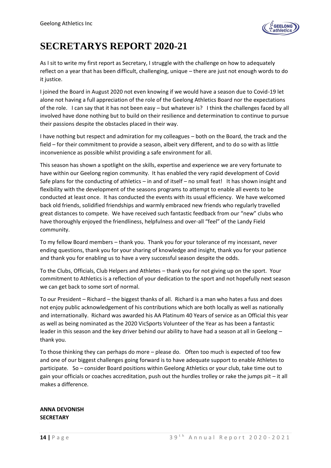

## **SECRETARYS REPORT 2020-21**

As I sit to write my first report as Secretary, I struggle with the challenge on how to adequately reflect on a year that has been difficult, challenging, unique – there are just not enough words to do it justice.

I joined the Board in August 2020 not even knowing if we would have a season due to Covid-19 let alone not having a full appreciation of the role of the Geelong Athletics Board nor the expectations of the role. I can say that it has not been easy – but whatever is? I think the challenges faced by all involved have done nothing but to build on their resilience and determination to continue to pursue their passions despite the obstacles placed in their way.

I have nothing but respect and admiration for my colleagues – both on the Board, the track and the field – for their commitment to provide a season, albeit very different, and to do so with as little inconvenience as possible whilst providing a safe environment for all.

This season has shown a spotlight on the skills, expertise and experience we are very fortunate to have within our Geelong region community. It has enabled the very rapid development of Covid Safe plans for the conducting of athletics – in and of itself – no small feat! It has shown insight and flexibility with the development of the seasons programs to attempt to enable all events to be conducted at least once. It has conducted the events with its usual efficiency. We have welcomed back old friends, solidified friendships and warmly embraced new friends who regularly travelled great distances to compete. We have received such fantastic feedback from our "new" clubs who have thoroughly enjoyed the friendliness, helpfulness and over-all "feel" of the Landy Field community.

To my fellow Board members – thank you. Thank you for your tolerance of my incessant, never ending questions, thank you for your sharing of knowledge and insight, thank you for your patience and thank you for enabling us to have a very successful season despite the odds.

To the Clubs, Officials, Club Helpers and Athletes – thank you for not giving up on the sport. Your commitment to Athletics is a reflection of your dedication to the sport and not hopefully next season we can get back to some sort of normal.

To our President – Richard – the biggest thanks of all. Richard is a man who hates a fuss and does not enjoy public acknowledgement of his contributions which are both locally as well as nationally and internationally. Richard was awarded his AA Platinum 40 Years of service as an Official this year as well as being nominated as the 2020 VicSports Volunteer of the Year as has been a fantastic leader in this season and the key driver behind our ability to have had a season at all in Geelong thank you.

To those thinking they can perhaps do more – please do. Often too much is expected of too few and one of our biggest challenges going forward is to have adequate support to enable Athletes to participate. So – consider Board positions within Geelong Athletics or your club, take time out to gain your officials or coaches accreditation, push out the hurdles trolley or rake the jumps pit – it all makes a difference.

**ANNA DEVONISH SECRETARY**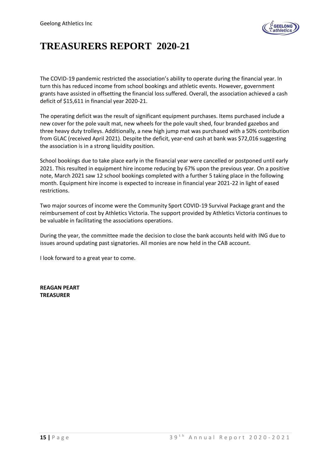

## **TREASURERS REPORT 2020-21**

The COVID-19 pandemic restricted the association's ability to operate during the financial year. In turn this has reduced income from school bookings and athletic events. However, government grants have assisted in offsetting the financial loss suffered. Overall, the association achieved a cash deficit of \$15,611 in financial year 2020-21.

The operating deficit was the result of significant equipment purchases. Items purchased include a new cover for the pole vault mat, new wheels for the pole vault shed, four branded gazebos and three heavy duty trolleys. Additionally, a new high jump mat was purchased with a 50% contribution from GLAC (received April 2021). Despite the deficit, year-end cash at bank was \$72,016 suggesting the association is in a strong liquidity position.

School bookings due to take place early in the financial year were cancelled or postponed until early 2021. This resulted in equipment hire income reducing by 67% upon the previous year. On a positive note, March 2021 saw 12 school bookings completed with a further 5 taking place in the following month. Equipment hire income is expected to increase in financial year 2021-22 in light of eased restrictions.

Two major sources of income were the Community Sport COVID-19 Survival Package grant and the reimbursement of cost by Athletics Victoria. The support provided by Athletics Victoria continues to be valuable in facilitating the associations operations.

During the year, the committee made the decision to close the bank accounts held with ING due to issues around updating past signatories. All monies are now held in the CAB account.

I look forward to a great year to come.

**REAGAN PEART TREASURER**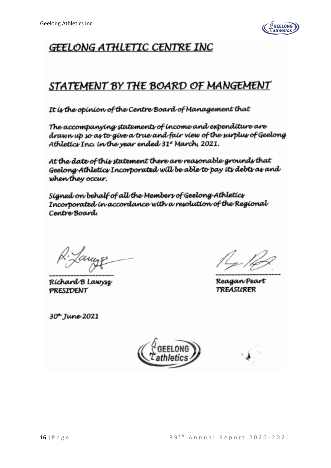

## GEELONG ATHLETIC CENTRE INC

### STATEMENT BY THE BOARD OF MANGEMENT

It is the opinion of the Centre Board of Management that

The accompanying statements of income and expenditure are drawn up so as to give a true and fair view of the surplus of Geelong Athletics Inc. in the year ended 31\* March, 2021.

At the date of this statement there are reasonable grounds that Geelong Athletics Incorporated will be able to pay its debts as and when they occur.

Signed on behalf of all the Membery of Geelong Athleticy Incorporated in accordance with a resolution of the Regional Centre Board

Ríchard B Lawysz **PRESIDENT** 

30<sup>t</sup> June 2021

ReaganPeart *TREASURER* 

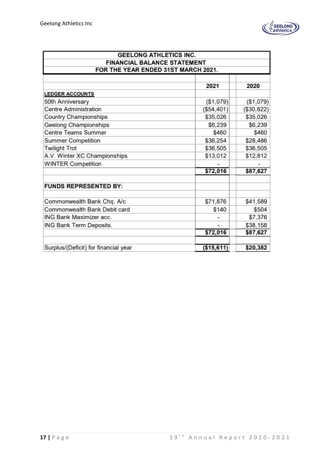

| <b>GEELONG ATHLETICS INC.</b>        |                                     |            |  |  |  |  |  |  |
|--------------------------------------|-------------------------------------|------------|--|--|--|--|--|--|
| <b>FINANCIAL BALANCE STATEMENT</b>   |                                     |            |  |  |  |  |  |  |
|                                      | FOR THE YEAR ENDED 31ST MARCH 2021. |            |  |  |  |  |  |  |
|                                      |                                     |            |  |  |  |  |  |  |
|                                      | 2021                                | 2020       |  |  |  |  |  |  |
| <b>LEDGER ACCOUNTS</b>               |                                     |            |  |  |  |  |  |  |
| 50th Anniversary                     | (\$1,079)                           | (\$1,079)  |  |  |  |  |  |  |
| Centre Administration                | (\$54,401)                          | (\$30,822) |  |  |  |  |  |  |
| Country Championships                | \$35,026                            | \$35,026   |  |  |  |  |  |  |
| Geelong Championships                | \$6,239                             | \$6,239    |  |  |  |  |  |  |
| Centre Teams Summer                  | \$460                               | \$460      |  |  |  |  |  |  |
| Summer Competition                   | \$36,254                            | \$28,486   |  |  |  |  |  |  |
| <b>Twilight Trot</b>                 | \$36,505                            | \$36,505   |  |  |  |  |  |  |
| A.V. Winter XC Championships         | \$13,012                            | \$12,812   |  |  |  |  |  |  |
| <b>WINTER Competition</b>            |                                     |            |  |  |  |  |  |  |
|                                      | \$72,016                            | \$87,627   |  |  |  |  |  |  |
| <b>FUNDS REPRESENTED BY:</b>         |                                     |            |  |  |  |  |  |  |
| Commonwealth Bank Chq. A/c           | \$71,876                            | \$41,589   |  |  |  |  |  |  |
| Commonwealth Bank Debit card         | \$140                               | \$504      |  |  |  |  |  |  |
| ING Bank Maximizer acc.              |                                     | \$7,376    |  |  |  |  |  |  |
| ING Bank Term Deposits.              |                                     | \$38,158   |  |  |  |  |  |  |
|                                      | \$72,016                            | \$87,627   |  |  |  |  |  |  |
|                                      |                                     |            |  |  |  |  |  |  |
| Surplus/(Deficit) for financial year | ( \$15,611)                         | \$20,382   |  |  |  |  |  |  |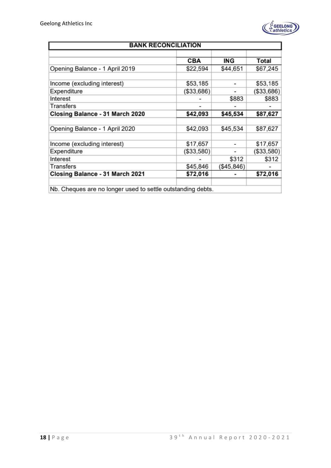

| <b>BANK RECONCILIATION</b>                                  |            |            |            |  |  |  |  |  |
|-------------------------------------------------------------|------------|------------|------------|--|--|--|--|--|
|                                                             |            |            |            |  |  |  |  |  |
|                                                             | <b>CBA</b> | ING        | Total      |  |  |  |  |  |
| Opening Balance - 1 April 2019                              | \$22,594   | \$44,651   | \$67,245   |  |  |  |  |  |
|                                                             |            |            |            |  |  |  |  |  |
| Income (excluding interest)                                 | \$53,185   |            | \$53,185   |  |  |  |  |  |
| Expenditure                                                 | (\$33,686) |            | (\$33,686) |  |  |  |  |  |
| Interest                                                    |            | \$883      | \$883      |  |  |  |  |  |
| Transfers                                                   |            |            |            |  |  |  |  |  |
| Closing Balance - 31 March 2020                             | \$42,093   | \$45,534   | \$87,627   |  |  |  |  |  |
|                                                             |            |            |            |  |  |  |  |  |
| Opening Balance - 1 April 2020                              | \$42,093   | \$45,534   | \$87,627   |  |  |  |  |  |
|                                                             |            |            |            |  |  |  |  |  |
| Income (excluding interest)                                 | \$17,657   |            | \$17,657   |  |  |  |  |  |
| Expenditure                                                 | (\$33,580) |            | (\$33,580) |  |  |  |  |  |
| Interest                                                    |            | \$312      | \$312      |  |  |  |  |  |
| Transfers                                                   | \$45,846   | (\$45,846) |            |  |  |  |  |  |
| Closing Balance - 31 March 2021                             | \$72,016   |            | \$72,016   |  |  |  |  |  |
|                                                             |            |            |            |  |  |  |  |  |
| Nb. Cheques are no longer used to settle outstanding debts. |            |            |            |  |  |  |  |  |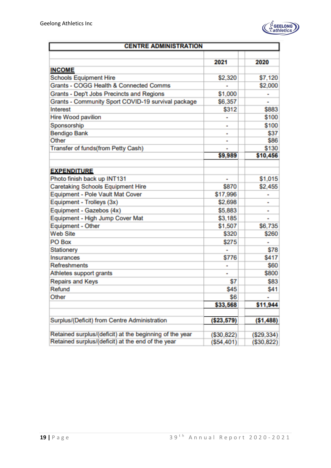

|                                                         | <b>CENTRE ADMINISTRATION</b> |                |  |  |  |  |  |  |
|---------------------------------------------------------|------------------------------|----------------|--|--|--|--|--|--|
|                                                         | 2021                         | 2020           |  |  |  |  |  |  |
| <b>INCOME</b>                                           |                              |                |  |  |  |  |  |  |
| <b>Schools Equipment Hire</b>                           | \$2,320                      | \$7,120        |  |  |  |  |  |  |
| Grants - COGG Health & Connected Comms                  |                              | \$2,000        |  |  |  |  |  |  |
| Grants - Dep't Jobs Precincts and Regions               | \$1,000                      |                |  |  |  |  |  |  |
| Grants - Community Sport COVID-19 survival package      | \$6,357                      |                |  |  |  |  |  |  |
| Interest                                                | \$312                        | \$883          |  |  |  |  |  |  |
| Hire Wood pavilion                                      |                              | \$100          |  |  |  |  |  |  |
| Sponsorship                                             | $\overline{a}$               | \$100          |  |  |  |  |  |  |
| Bendigo Bank                                            |                              | \$37           |  |  |  |  |  |  |
| Other                                                   |                              | \$86           |  |  |  |  |  |  |
| Transfer of funds(from Petty Cash)                      |                              | \$130          |  |  |  |  |  |  |
|                                                         | \$9,989                      | \$10,456       |  |  |  |  |  |  |
| <b>EXPENDITURE</b>                                      |                              |                |  |  |  |  |  |  |
| Photo finish back up INT131                             | $\blacksquare$               | \$1,015        |  |  |  |  |  |  |
| Caretaking Schools Equipment Hire                       | \$870                        | \$2,455        |  |  |  |  |  |  |
| Equipment - Pole Vault Mat Cover                        | \$17,996                     |                |  |  |  |  |  |  |
| Equipment - Trolleys (3x)                               | \$2,698                      |                |  |  |  |  |  |  |
| Equipment - Gazebos (4x)                                | \$5,883                      |                |  |  |  |  |  |  |
| Equipment - High Jump Cover Mat                         | \$3,185                      |                |  |  |  |  |  |  |
| Equipment - Other                                       | \$1,507                      | \$6,735        |  |  |  |  |  |  |
| <b>Web Site</b>                                         | \$320                        | \$260          |  |  |  |  |  |  |
| PO Box                                                  | \$275                        | $\blacksquare$ |  |  |  |  |  |  |
| Stationery                                              | ٠                            | \$78           |  |  |  |  |  |  |
| Insurances                                              | \$776                        | <b>\$417</b>   |  |  |  |  |  |  |
| <b>Refreshments</b>                                     | $\qquad \qquad \blacksquare$ | \$60           |  |  |  |  |  |  |
| Athletes support grants                                 | $\qquad \qquad \blacksquare$ | \$800          |  |  |  |  |  |  |
| Repairs and Keys                                        | \$7                          | \$83           |  |  |  |  |  |  |
| Refund                                                  | \$45                         | \$41           |  |  |  |  |  |  |
| Other                                                   | \$6                          |                |  |  |  |  |  |  |
|                                                         | \$33,568                     | \$11,944       |  |  |  |  |  |  |
| Surplus/(Deficit) from Centre Administration            | ( \$23,579)                  | ( \$1,488)     |  |  |  |  |  |  |
| Retained surplus/(deficit) at the beginning of the year | (\$30,822)                   | $(\$29,334)$   |  |  |  |  |  |  |
| Retained surplus/(deficit) at the end of the year       | (\$54,401)                   | (\$30,822)     |  |  |  |  |  |  |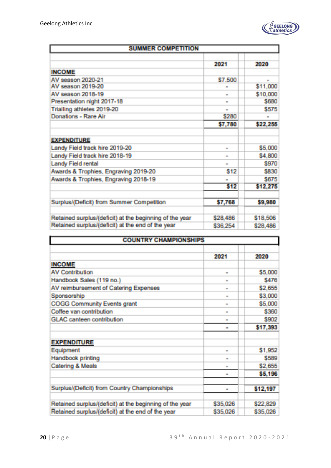

| <b>SUMMER COMPETITION</b>                               |            |          |  |  |  |
|---------------------------------------------------------|------------|----------|--|--|--|
|                                                         |            |          |  |  |  |
|                                                         | 2024       | 2020     |  |  |  |
| <b>INCOME</b>                                           |            |          |  |  |  |
| AV season 2020-21                                       | \$7,500    | m.       |  |  |  |
| AV season 2019-20                                       |            | \$11,000 |  |  |  |
| AV season 2018-19                                       | <b>COL</b> | \$10,000 |  |  |  |
| Presentation night 2017-18                              |            | \$680    |  |  |  |
| Trialling athletes 2019-20                              | m.         | \$575    |  |  |  |
| Donations - Rare Air                                    | 8280       |          |  |  |  |
|                                                         | \$7,780    | \$22,255 |  |  |  |
|                                                         |            |          |  |  |  |
| <b>EXPENDITURE</b>                                      |            |          |  |  |  |
| Landy Field track hire 2019-20                          | m.         | \$5,000  |  |  |  |
| Landy Field track hire 2018-19                          | <b>COL</b> | \$4,800  |  |  |  |
| Landy Field rental                                      | m.         | \$970    |  |  |  |
| Awards & Trophies, Engraving 2019-20                    | \$12       | \$830    |  |  |  |
| Awards & Trophies, Engraving 2018-19                    | m.         | \$675    |  |  |  |
|                                                         | \$12       | \$12,275 |  |  |  |
|                                                         |            |          |  |  |  |
| Surplus/(Deficit) from Summer Competition               | \$7,768    | \$9,980  |  |  |  |
| Retained surplus/(deficit) at the beginning of the year | \$28,486   | \$18,506 |  |  |  |
| Retained surplus/(deficit) at the end of the year       | \$36,254   | \$28,486 |  |  |  |

| <b>COUNTRY CHAMPIONSHIPS</b>                            |            |          |
|---------------------------------------------------------|------------|----------|
|                                                         | 2021       | 2020     |
| <b>INCOME</b>                                           |            |          |
| <b>AV Contribution</b>                                  | <b>COL</b> | \$5,000  |
| Handbook Sales (119 no.)                                | <b>THE</b> | \$476    |
| AV reimbursement of Catering Expenses                   | m          | \$2,655  |
| Sponsorship                                             | m          | \$3,000  |
| <b>COGG Community Events grant</b>                      | <b>IN</b>  | \$5,000  |
| Coffee van contribution                                 | m          | \$360    |
| <b>GLAC</b> canteen contribution                        | <b>ISO</b> | \$902    |
|                                                         | <b>COL</b> | \$17,393 |
|                                                         |            |          |
| <b>EXPENDITURE</b>                                      |            |          |
| Equipment                                               | m          | \$1,952  |
| Handbook printing                                       |            | \$589    |
| Catering & Meals                                        | œ          | \$2,655  |
|                                                         | <b>In</b>  | \$5,196  |
|                                                         |            |          |
| Surplus/(Deficit) from Country Championships            | m.         | \$12,197 |
|                                                         |            |          |
| Retained surplus/(deficit) at the beginning of the year | \$35,026   | \$22,829 |
| Retained surplus/(deficit) at the end of the year       | \$35,026   | \$35,026 |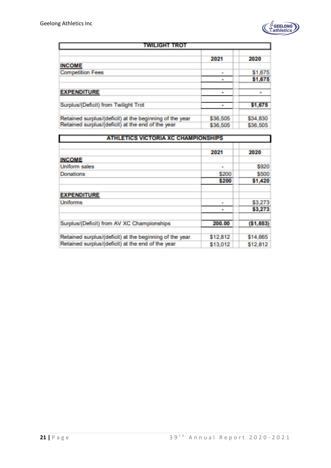

| TWILIGHT TROT                                           |          |          |  |  |  |  |
|---------------------------------------------------------|----------|----------|--|--|--|--|
|                                                         | 2021     | 2020     |  |  |  |  |
| <b>INCOME</b>                                           |          |          |  |  |  |  |
| <b>Competition Fees</b>                                 | ш        | \$1,675  |  |  |  |  |
|                                                         | m        | \$1,675  |  |  |  |  |
|                                                         |          |          |  |  |  |  |
| <b>EXPENDITURE</b>                                      | m        | m        |  |  |  |  |
| Surplus/(Deficit) from Twilight Trot                    | m        | \$1,675  |  |  |  |  |
| Retained surplus/(deficit) at the beginning of the year | \$36,505 | \$34,830 |  |  |  |  |
| Retained surplus/(deficit) at the end of the year       | \$36,505 | \$36,505 |  |  |  |  |

| <b>ATHLETICS VICTORIA XC CHAMPIONSHIPS</b>              |          |           |  |  |  |  |
|---------------------------------------------------------|----------|-----------|--|--|--|--|
|                                                         | 2021     | 2020      |  |  |  |  |
| <b>INCOME</b>                                           |          |           |  |  |  |  |
| <b>Uniform sales</b>                                    | m.       | \$920     |  |  |  |  |
| <b>Donations</b>                                        | \$200    | 8500      |  |  |  |  |
|                                                         | \$200    | \$1,420   |  |  |  |  |
|                                                         |          |           |  |  |  |  |
| <b>EXPENDITURE</b>                                      |          |           |  |  |  |  |
| <b>Uniforms</b>                                         | m.       | \$3,273   |  |  |  |  |
|                                                         | m        | \$3,273   |  |  |  |  |
|                                                         |          |           |  |  |  |  |
| Surplus/(Deficit) from AV XC Championships              | 200,00   | (\$1,853) |  |  |  |  |
|                                                         |          |           |  |  |  |  |
| Retained surplus/(deficit) at the beginning of the year | \$12,812 | \$14,665  |  |  |  |  |
| Retained surplus/(deficit) at the end of the year       | \$13,012 | \$12,812  |  |  |  |  |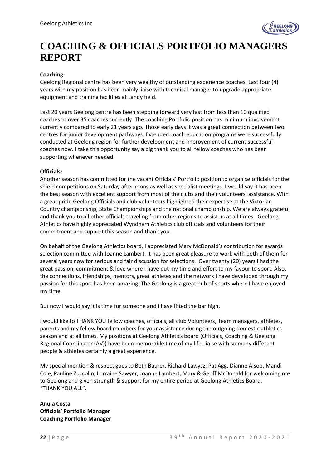

## **COACHING & OFFICIALS PORTFOLIO MANAGERS REPORT**

### **Coaching:**

Geelong Regional centre has been very wealthy of outstanding experience coaches. Last four (4) years with my position has been mainly liaise with technical manager to upgrade appropriate equipment and training facilities at Landy field.

Last 20 years Geelong centre has been stepping forward very fast from less than 10 qualified coaches to over 35 coaches currently. The coaching Portfolio position has minimum involvement currently compared to early 21 years ago. Those early days it was a great connection between two centres for junior development pathways. Extended coach education programs were successfully conducted at Geelong region for further development and improvement of current successful coaches now. I take this opportunity say a big thank you to all fellow coaches who has been supporting whenever needed.

#### **Officials:**

Another season has committed for the vacant Officials' Portfolio position to organise officials for the shield competitions on Saturday afternoons as well as specialist meetings. I would say it has been the best season with excellent support from most of the clubs and their volunteers' assistance. With a great pride Geelong Officials and club volunteers highlighted their expertise at the Victorian Country championship, State Championships and the national championship. We are always grateful and thank you to all other officials traveling from other regions to assist us at all times. Geelong Athletics have highly appreciated Wyndham Athletics club officials and volunteers for their commitment and support this season and thank you.

On behalf of the Geelong Athletics board, I appreciated Mary McDonald's contribution for awards selection committee with Joanne Lambert. It has been great pleasure to work with both of them for several years now for serious and fair discussion for selections. Over twenty (20) years I had the great passion, commitment & love where I have put my time and effort to my favourite sport. Also, the connections, friendships, mentors, great athletes and the network I have developed through my passion for this sport has been amazing. The Geelong is a great hub of sports where I have enjoyed my time.

But now I would say it is time for someone and I have lifted the bar high.

I would like to THANK YOU fellow coaches, officials, all club Volunteers, Team managers, athletes, parents and my fellow board members for your assistance during the outgoing domestic athletics season and at all times. My positions at Geelong Athletics board (Officials, Coaching & Geelong Regional Coordinator (AV)) have been memorable time of my life, liaise with so many different people & athletes certainly a great experience.

My special mention & respect goes to Beth Baurer, Richard Lawysz, Pat Agg, Dianne Alsop, Mandi Cole, Pauline Zuccolin, Lorraine Sawyer, Joanne Lambert, Mary & Geoff McDonald for welcoming me to Geelong and given strength & support for my entire period at Geelong Athletics Board. "THANK YOU ALL".

**Anula Costa Officials' Portfolio Manager Coaching Portfolio Manager**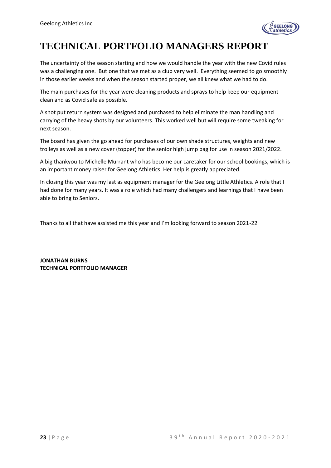

## **TECHNICAL PORTFOLIO MANAGERS REPORT**

The uncertainty of the season starting and how we would handle the year with the new Covid rules was a challenging one. But one that we met as a club very well. Everything seemed to go smoothly in those earlier weeks and when the season started proper, we all knew what we had to do.

The main purchases for the year were cleaning products and sprays to help keep our equipment clean and as Covid safe as possible.

A shot put return system was designed and purchased to help eliminate the man handling and carrying of the heavy shots by our volunteers. This worked well but will require some tweaking for next season.

The board has given the go ahead for purchases of our own shade structures, weights and new trolleys as well as a new cover (topper) for the senior high jump bag for use in season 2021/2022.

A big thankyou to Michelle Murrant who has become our caretaker for our school bookings, which is an important money raiser for Geelong Athletics. Her help is greatly appreciated.

In closing this year was my last as equipment manager for the Geelong Little Athletics. A role that I had done for many years. It was a role which had many challengers and learnings that I have been able to bring to Seniors.

Thanks to all that have assisted me this year and I'm looking forward to season 2021-22

**JONATHAN BURNS TECHNICAL PORTFOLIO MANAGER**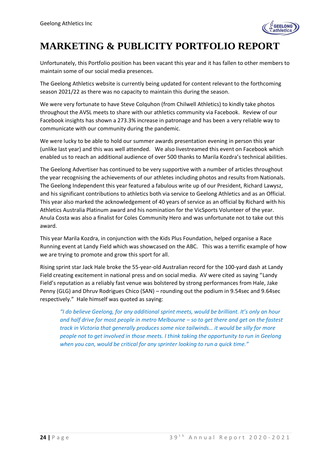

## **MARKETING & PUBLICITY PORTFOLIO REPORT**

Unfortunately, this Portfolio position has been vacant this year and it has fallen to other members to maintain some of our social media presences.

The Geelong Athletics website is currently being updated for content relevant to the forthcoming season 2021/22 as there was no capacity to maintain this during the season.

We were very fortunate to have Steve Colquhon (from Chilwell Athletics) to kindly take photos throughout the AVSL meets to share with our athletics community via Facebook. Review of our Facebook insights has shown a 273.3% increase in patronage and has been a very reliable way to communicate with our community during the pandemic.

We were lucky to be able to hold our summer awards presentation evening in person this year (unlike last year) and this was well attended. We also livestreamed this event on Facebook which enabled us to reach an additional audience of over 500 thanks to Marila Kozdra's technical abilities.

The Geelong Advertiser has continued to be very supportive with a number of articles throughout the year recognising the achievements of our athletes including photos and results from Nationals. The Geelong Independent this year featured a fabulous write up of our President, Richard Lawysz, and his significant contributions to athletics both via service to Geelong Athletics and as an Official. This year also marked the acknowledgement of 40 years of service as an official by Richard with his Athletics Australia Platinum award and his nomination for the VicSports Volunteer of the year. Anula Costa was also a finalist for Coles Community Hero and was unfortunate not to take out this award.

This year Marila Kozdra, in conjunction with the Kids Plus Foundation, helped organise a Race Running event at Landy Field which was showcased on the ABC. This was a terrific example of how we are trying to promote and grow this sport for all.

Rising sprint star Jack Hale broke the 55-year-old Australian record for the 100-yard dash at Landy Field creating excitement in national press and on social media. AV were cited as saying "Landy Field's reputation as a reliably fast venue was bolstered by strong performances from Hale, Jake Penny (GLG) and Dhruv Rodrigues Chico (SAN) – rounding out the podium in 9.54sec and 9.64sec respectively." Hale himself was quoted as saying:

*"I do believe Geelong, for any additional sprint meets, would be brilliant. It's only an hour and half drive for most people in metro Melbourne – so to get there and get on the fastest track in Victoria that generally produces some nice tailwinds… it would be silly for more people not to get involved in those meets. I think taking the opportunity to run in Geelong when you can, would be critical for any sprinter looking to run a quick time."*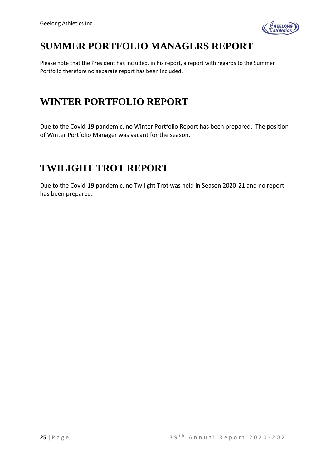

## **SUMMER PORTFOLIO MANAGERS REPORT**

Please note that the President has included, in his report, a report with regards to the Summer Portfolio therefore no separate report has been included.

### **WINTER PORTFOLIO REPORT**

Due to the Covid-19 pandemic, no Winter Portfolio Report has been prepared. The position of Winter Portfolio Manager was vacant for the season.

### **TWILIGHT TROT REPORT**

Due to the Covid-19 pandemic, no Twilight Trot was held in Season 2020-21 and no report has been prepared.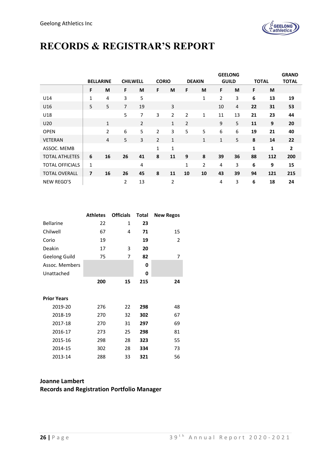

## **RECORDS & REGISTRAR'S REPORT**

|                        |              | <b>BELLARINE</b> | <b>CHILWELL</b> |                | <b>CORIO</b>   |                |                | <b>DEAKIN</b>  | <b>GEELONG</b><br><b>GUILD</b> |    | <b>TOTAL</b> |     | <b>GRAND</b><br><b>TOTAL</b> |
|------------------------|--------------|------------------|-----------------|----------------|----------------|----------------|----------------|----------------|--------------------------------|----|--------------|-----|------------------------------|
|                        | F            | M                | F               | M              | F              | M              | F              | M              | F                              | M  | F            | M   |                              |
| U14                    | 1            | 4                | 3               | 5              |                |                |                | $\mathbf 1$    | $\overline{2}$                 | 3  | 6            | 13  | 19                           |
| U <sub>16</sub>        | 5            | 5                | $\overline{7}$  | 19             |                | 3              |                |                | 10                             | 4  | 22           | 31  | 53                           |
| U18                    |              |                  | 5               | 7              | 3              | 2              | 2              | 1              | 11                             | 13 | 21           | 23  | 44                           |
| U20                    |              | 1                |                 | $\overline{2}$ |                | $\mathbf{1}$   | $\overline{2}$ |                | 9                              | 5  | 11           | 9   | 20                           |
| <b>OPEN</b>            |              | $\overline{2}$   | 6               | 5              | 2              | 3              | 5              | 5              | 6                              | 6  | 19           | 21  | 40                           |
| VETERAN                |              | 4                | 5               | 3              | $\overline{2}$ | 1              |                | $\mathbf{1}$   | 1                              | 5  | 8            | 14  | 22                           |
| ASSOC. MEMB            |              |                  |                 |                | $\mathbf{1}$   | 1              |                |                |                                |    | 1            | 1   | $\overline{2}$               |
| <b>TOTAL ATHLETES</b>  | 6            | 16               | 26              | 41             | 8              | 11             | 9              | 8              | 39                             | 36 | 88           | 112 | 200                          |
| <b>TOTAL OFFICIALS</b> | $\mathbf{1}$ |                  |                 | 4              |                |                | 1              | $\overline{2}$ | 4                              | 3  | 6            | 9   | 15                           |
| <b>TOTAL OVERALL</b>   | 7            | 16               | 26              | 45             | 8              | 11             | 10             | 10             | 43                             | 39 | 94           | 121 | 215                          |
| <b>NEW REGO'S</b>      |              |                  | 2               | 13             |                | $\overline{2}$ |                |                | 4                              | 3  | 6            | 18  | 24                           |

|                    | <b>Athletes</b> | <b>Officials</b> | Total | <b>New Regos</b> |
|--------------------|-----------------|------------------|-------|------------------|
| <b>Bellarine</b>   | 22              | 1                | 23    |                  |
| Chilwell           | 67              | 4                | 71    | 15               |
| Corio              | 19              |                  | 19    | 2                |
| Deakin             | 17              | 3                | 20    |                  |
| Geelong Guild      | 75              | 7                | 82    | 7                |
| Assoc. Members     |                 |                  | 0     |                  |
| Unattached         |                 |                  | 0     |                  |
|                    | 200             | 15               | 215   | 24               |
|                    |                 |                  |       |                  |
| <b>Prior Years</b> |                 |                  |       |                  |
| 2019-20            | 276             | 22               | 298   | 48               |
| 2018-19            | 270             | 32               | 302   | 67               |
| 2017-18            | 270             | 31               | 297   | 69               |
| 2016-17            | 273             | 25               | 298   | 81               |
| 2015-16            | 298             | 28               | 323   | 55               |
| 2014-15            | 302             | 28               | 334   | 73               |
| 2013-14            | 288             | 33               | 321   | 56               |
|                    |                 |                  |       |                  |

### **Joanne Lambert Records and Registration Portfolio Manager**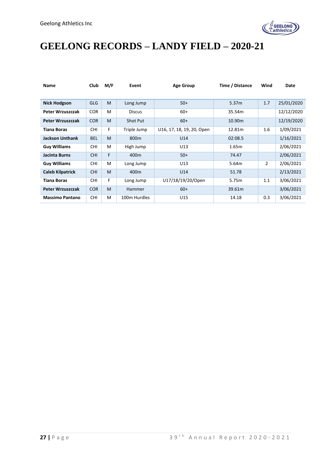

## **GEELONG RECORDS – LANDY FIELD – 2020-21**

| <b>Name</b>             | Club       | M/F | Event            | <b>Age Group</b>          | Time / Distance   | Wind           | Date       |
|-------------------------|------------|-----|------------------|---------------------------|-------------------|----------------|------------|
|                         |            |     |                  |                           |                   |                |            |
| <b>Nick Hodgson</b>     | <b>GLG</b> | M   | Long Jump        | $50+$                     | 5.37 <sub>m</sub> | 1.7            | 25/01/2020 |
| Peter Wrzuszczak        | <b>COR</b> | M   | <b>Discus</b>    | $60+$                     | 35.54m            |                | 12/12/2020 |
| Peter Wrzuszczak        | <b>COR</b> | M   | Shot Put         | $60+$                     | 10.90m            |                | 12/19/2020 |
| <b>Tiana Boras</b>      | <b>CHI</b> | F   | Triple Jump      | U16, 17, 18, 19, 20, Open | 12.81m            | 1.6            | 1/09/2021  |
| <b>Jackson Unthank</b>  | <b>BEL</b> | M   | 800 <sub>m</sub> | U14                       | 02:08.5           |                | 1/16/2021  |
| <b>Guy Williams</b>     | <b>CHI</b> | M   | High Jump        | U13                       | 1.65m             |                | 2/06/2021  |
| Jacinta Burns           | <b>CHI</b> | F   | 400 <sub>m</sub> | $50+$                     | 74.47             |                | 2/06/2021  |
| <b>Guy Williams</b>     | <b>CHI</b> | M   | Long Jump        | U13                       | 5.64m             | $\overline{2}$ | 2/06/2021  |
| <b>Caleb Kilpatrick</b> | <b>CHI</b> | M   | 400 <sub>m</sub> | U14                       | 51.78             |                | 2/13/2021  |
| <b>Tiana Boras</b>      | <b>CHI</b> | F   | Long Jump        | U17/18/19/20/Open         | 5.75m             | 1.1            | 3/06/2021  |
| Peter Wrzuszczak        | <b>COR</b> | M   | Hammer           | $60+$                     | 39.61m            |                | 3/06/2021  |
| <b>Massimo Pantano</b>  | <b>CHI</b> | M   | 100m Hurdles     | U15                       | 14.18             | 0.3            | 3/06/2021  |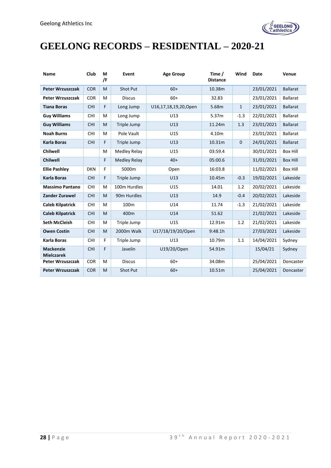

## **GEELONG RECORDS – RESIDENTIAL – 2020-21**

| Name                                  | Club       | М<br>/F | Event               | <b>Age Group</b>     | Time /<br><b>Distance</b> | Wind         | Date       | Venue           |
|---------------------------------------|------------|---------|---------------------|----------------------|---------------------------|--------------|------------|-----------------|
| <b>Peter Wrzuszczak</b>               | <b>COR</b> | M       | <b>Shot Put</b>     | $60+$                | 10.38m                    |              | 23/01/2021 | <b>Ballarat</b> |
| Peter Wrzuszczak                      | <b>COR</b> | м       | <b>Discus</b>       | $60+$                | 32.83                     |              | 23/01/2021 | <b>Ballarat</b> |
| <b>Tiana Boras</b>                    | <b>CHI</b> | F       | Long Jump           | U16,17,18,19,20,Open | 5.68m                     | $\mathbf{1}$ | 23/01/2021 | <b>Ballarat</b> |
| <b>Guy Williams</b>                   | <b>CHI</b> | M       | Long Jump           | U13                  | 5.37m                     | $-1.3$       | 22/01/2021 | <b>Ballarat</b> |
| <b>Guy Williams</b>                   | <b>CHI</b> | M       | Triple Jump         | U13                  | 11.24m                    | 1.3          | 23/01/2021 | <b>Ballarat</b> |
| <b>Noah Burns</b>                     | <b>CHI</b> | м       | Pole Vault          | U15                  | 4.10m                     |              | 23/01/2021 | <b>Ballarat</b> |
| <b>Karla Boras</b>                    | <b>CHI</b> | F       | Triple Jump         | U13                  | 10.31m                    | $\mathbf 0$  | 24/01/2021 | <b>Ballarat</b> |
| <b>Chilwell</b>                       |            | м       | <b>Medley Relay</b> | U15                  | 03:59.4                   |              | 30/01/2021 | <b>Box Hill</b> |
| <b>Chilwell</b>                       |            | F       | <b>Medley Relay</b> | $40+$                | 05:00.6                   |              | 31/01/2021 | <b>Box Hill</b> |
| <b>Ellie Pashley</b>                  | <b>DKN</b> | F       | 5000m               | Open                 | 16:03.8                   |              | 11/02/2021 | <b>Box Hill</b> |
| <b>Karla Boras</b>                    | <b>CHI</b> | F       | Triple Jump         | U13                  | 10.45m                    | $-0.3$       | 19/02/2021 | Lakeside        |
| <b>Massimo Pantano</b>                | <b>CHI</b> | M       | 100m Hurdles        | U15                  | 14.01                     | 1.2          | 20/02/2021 | Lakeside        |
| <b>Zander Zurawel</b>                 | <b>CHI</b> | M       | 90m Hurdles         | U13                  | 14.9                      | $-0.4$       | 20/02/2021 | Lakeside        |
| <b>Caleb Kilpatrick</b>               | <b>CHI</b> | M       | 100 <sub>m</sub>    | U14                  | 11.74                     | $-1.3$       | 21/02/2021 | Lakeside        |
| <b>Caleb Kilpatrick</b>               | <b>CHI</b> | M       | 400m                | U14                  | 51.62                     |              | 21/02/2021 | Lakeside        |
| <b>Seth McCleish</b>                  | <b>CHI</b> | м       | Triple Jump         | U15                  | 12.91m                    | 1.2          | 21/02/2021 | Lakeside        |
| <b>Owen Costin</b>                    | <b>CHI</b> | M       | 2000m Walk          | U17/18/19/20/Open    | 9:48.1h                   |              | 27/03/2021 | Lakeside        |
| Karla Boras                           | <b>CHI</b> | F       | Triple Jump         | U13                  | 10.79m                    | 1.1          | 14/04/2021 | Sydney          |
| <b>Mackenzie</b><br><b>Mielczarek</b> | <b>CHI</b> | F       | Javelin             | U19/20/Open          | 54.91m                    |              | 15/04/21   | Sydney          |
| <b>Peter Wrzuszczak</b>               | <b>COR</b> | M       | <b>Discus</b>       | $60+$                | 34.08m                    |              | 25/04/2021 | Doncaster       |
| <b>Peter Wrzuszczak</b>               | <b>COR</b> | M       | Shot Put            | $60+$                | 10.51m                    |              | 25/04/2021 | Doncaster       |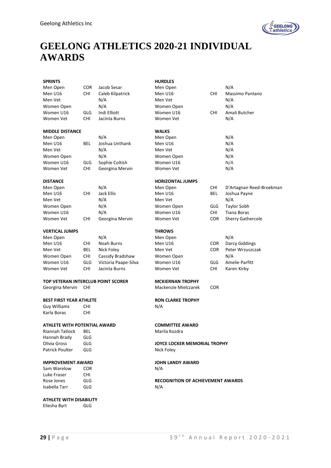

## **GEELONG ATHLETICS 2020-21 INDIVIDUAL AWARDS**

| <b>SPRINTS</b>                     |            |                      | <b>HURDLES</b>                           |            |                          |
|------------------------------------|------------|----------------------|------------------------------------------|------------|--------------------------|
| Men Open                           | COR        | Jacob Sesar          | Men Open                                 |            | N/A                      |
| Men U16                            | <b>CHI</b> | Caleb Kilpatrick     | Men U16                                  | <b>CHI</b> | Massimo Pantano          |
| Men Vet                            |            | N/A                  | Men Vet                                  |            | N/A                      |
| Women Open                         |            | N/A                  | Women Open                               |            | N/A                      |
| Women U16                          | GLG        | Indi Elliott         | Women U16                                | CHI        | Amali Butcher            |
| Women Vet                          | <b>CHI</b> | Jacinta Burns        | Women Vet                                |            | N/A                      |
| <b>MIDDLE DISTANCE</b>             |            |                      | <b>WALKS</b>                             |            |                          |
| Men Open                           |            | N/A                  | Men Open                                 |            | N/A                      |
| Men U16                            | BEL        | Joshua Unthank       | Men U16                                  |            | N/A                      |
| Men Vet                            |            | N/A                  | Men Vet                                  |            | N/A                      |
| Women Open                         |            | N/A                  | Women Open                               |            | N/A                      |
| Women U16                          | GLG        | Sophie Coltish       | Women U16                                |            | N/A                      |
| Women Vet                          | CHI.       | Georgina Mervin      | Women Vet                                |            | N/A                      |
| <b>DISTANCE</b>                    |            |                      | <b>HORIZONTAL JUMPS</b>                  |            |                          |
| Men Open                           |            | N/A                  | Men Open                                 | CHI        | D'Artagnan Reed-Broekman |
| Men U16                            | <b>CHI</b> | Jack Ellis           | Men U16                                  | BEL        | Joshua Payne             |
| Men Vet                            |            | N/A                  | Men Vet                                  |            | N/A                      |
| Women Open                         |            | N/A                  | Women Open                               | GLG        | <b>Taylor Sobh</b>       |
| Women U16                          |            | N/A                  | Women U16                                | <b>CHI</b> | <b>Tiana Boras</b>       |
| Women Vet                          | <b>CHI</b> | Georgina Mervin      | Women Vet                                | <b>COR</b> | Sherry Gathercole        |
| <b>VERTICAL JUMPS</b>              |            |                      | <b>THROWS</b>                            |            |                          |
| Men Open                           |            | N/A                  | Men Open                                 |            | N/A                      |
| Men U16                            | CHI        | Noah Burns           | Men U16                                  | <b>COR</b> | Darcy Giddings           |
| Men Vet                            | BEL        | Nick Foley           | Men Vet                                  | <b>COR</b> | Peter Wrzuszczak         |
| Women Open                         | <b>CHI</b> | Cassidy Bradshaw     | Women Open                               |            | N/A                      |
| Women U16                          | GLG        | Victoria Paape-Silva | Women U16                                | GLG        | Amelie Parfitt           |
| Women Vet                          | <b>CHI</b> | Jacinta Burns        | Women Vet                                | CHI        | Karen Kirby              |
| TOP VETERAN INTERCLUB POINT SCORER |            |                      | <b>MCKIERNAN TROPHY</b>                  |            |                          |
| Georgina Mervin                    | CHI        |                      | Mackenzie Mielczarek                     | <b>COR</b> |                          |
| <b>BEST FIRST YEAR ATHLETE</b>     |            |                      | <b>RON CLARKE TROPHY</b>                 |            |                          |
| <b>Guy Williams</b>                | CHI        |                      | N/A                                      |            |                          |
| Karla Boras                        | <b>CHI</b> |                      |                                          |            |                          |
| ATHLETE WITH POTENTIAL AWARD       |            |                      | <b>COMMITTEE AWARD</b>                   |            |                          |
| Riannah Tatlock                    | BEL        |                      | Marila Kozdra                            |            |                          |
| Hannah Brady                       | GLG        |                      |                                          |            |                          |
| Olivia Gross                       | GLG        |                      | <b>JOYCE LOCKER MEMORIAL TROPHY</b>      |            |                          |
| <b>Patrick Poulter</b>             | GLG        |                      | Nick Foley                               |            |                          |
| <b>IMPROVEMENT AWARD</b>           |            |                      | <b>JOHN LANDY AWARD</b>                  |            |                          |
| Sam Warelow                        | <b>COR</b> |                      | N/A                                      |            |                          |
| Luke Fraser                        | CHI.       |                      |                                          |            |                          |
| Rose Jones                         | GLG        |                      | <b>RECOGNITION OF ACHIEVEMENT AWARDS</b> |            |                          |
| Isabella Tarr                      | <b>GLG</b> |                      | N/A                                      |            |                          |
| ATHLETE WITH DISABILITY            |            |                      |                                          |            |                          |
| Eliesha Byrt                       | <b>GLG</b> |                      |                                          |            |                          |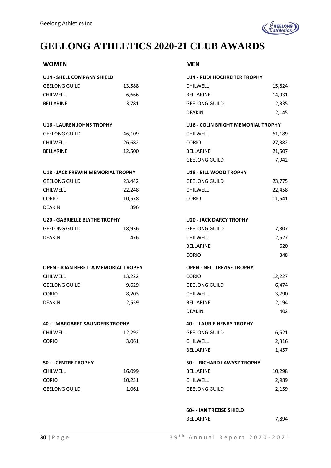

## **GEELONG ATHLETICS 2020-21 CLUB AWARDS**

### **WOMEN MEN**

| <b>U14 - SHELL COMPANY SHIELD</b>          |        | <b>U14 - RUDI HOCHREITER TROPHY</b> |        |
|--------------------------------------------|--------|-------------------------------------|--------|
| <b>GEELONG GUILD</b>                       | 13,588 | <b>CHILWELL</b>                     | 15,824 |
| CHILWELL                                   | 6,666  | <b>BELLARINE</b>                    | 14,931 |
| BELLARINE                                  | 3,781  | <b>GEELONG GUILD</b>                | 2,335  |
|                                            |        | <b>DEAKIN</b>                       | 2,145  |
| <b>U16 - LAUREN JOHNS TROPHY</b>           |        | U16 - COLIN BRIGHT MEMORIAL TROPHY  |        |
| <b>GEELONG GUILD</b>                       | 46,109 | <b>CHILWELL</b>                     | 61,189 |
| <b>CHILWELL</b>                            | 26,682 | <b>CORIO</b>                        | 27,382 |
| <b>BELLARINE</b>                           | 12,500 | <b>BELLARINE</b>                    | 21,507 |
|                                            |        | <b>GEELONG GUILD</b>                | 7,942  |
| U18 - JACK FREWIN MEMORIAL TROPHY          |        | U18 - BILL WOOD TROPHY              |        |
| <b>GEELONG GUILD</b>                       | 23,442 | <b>GEELONG GUILD</b>                | 23,775 |
| CHILWELL                                   | 22,248 | <b>CHILWELL</b>                     | 22,458 |
| <b>CORIO</b>                               | 10,578 | <b>CORIO</b>                        | 11,541 |
| DEAKIN                                     | 396    |                                     |        |
| <b>U20 - GABRIELLE BLYTHE TROPHY</b>       |        | <b>U20 - JACK DARCY TROPHY</b>      |        |
| <b>GEELONG GUILD</b>                       | 18,936 | <b>GEELONG GUILD</b>                | 7,307  |
| DEAKIN                                     | 476    | <b>CHILWELL</b>                     | 2,527  |
|                                            |        | <b>BELLARINE</b>                    | 620    |
|                                            |        | <b>CORIO</b>                        | 348    |
| <b>OPEN - JOAN BERETTA MEMORIAL TROPHY</b> |        | <b>OPEN - NEIL TREZISE TROPHY</b>   |        |
| CHILWELL                                   | 13,222 | <b>CORIO</b>                        | 12,227 |
| <b>GEELONG GUILD</b>                       | 9,629  | <b>GEELONG GUILD</b>                | 6,474  |
| CORIO                                      | 8,203  | <b>CHILWELL</b>                     | 3,790  |
| DEAKIN                                     | 2,559  | <b>BELLARINE</b>                    | 2,194  |
|                                            |        | <b>DEAKIN</b>                       | 402    |
| 40+ - MARGARET SAUNDERS TROPHY             |        | 40+ - LAURIE HENRY TROPHY           |        |
| CHILWELL                                   | 12,292 | <b>GEELONG GUILD</b>                | 6,521  |
| <b>CORIO</b>                               | 3,061  | <b>CHILWELL</b>                     | 2,316  |
|                                            |        | <b>BELLARINE</b>                    | 1,457  |
| 50+ - CENTRE TROPHY                        |        | 50+ - RICHARD LAWYSZ TROPHY         |        |
| <b>CHILWELL</b>                            | 16,099 | <b>BELLARINE</b>                    | 10,298 |
| CORIO                                      | 10,231 | <b>CHILWELL</b>                     | 2,989  |
| <b>GEELONG GUILD</b>                       | 1,061  | <b>GEELONG GUILD</b>                | 2,159  |
|                                            |        |                                     |        |

| <b>U14 - RUDI HOCHREITER TROPHY</b>       |        |
|-------------------------------------------|--------|
| <b>CHILWELL</b>                           | 15,824 |
| <b>BELLARINE</b>                          | 14,931 |
| <b>GEELONG GUILD</b>                      | 2,335  |
| <b>DEAKIN</b>                             | 2,145  |
| <b>U16 - COLIN BRIGHT MEMORIAL TROPHY</b> |        |
| <b>CHILWELL</b>                           | 61,189 |
| CORIO                                     | 27,382 |
| <b>BELLARINE</b>                          | 21,507 |
| <b>GEELONG GUILD</b>                      | 7,942  |
| <b>U18 - BILL WOOD TROPHY</b>             |        |
| <b>GEELONG GUILD</b>                      | 23,775 |
| <b>CHILWELL</b>                           | 22,458 |
| CORIO                                     | 11,541 |
| <b>U20 - JACK DARCY TROPHY</b>            |        |
| <b>GEELONG GUILD</b>                      | 7,307  |
| <b>CHILWELL</b>                           | 2,527  |
| <b>BELLARINE</b>                          | 620    |
| CORIO                                     | 348    |
| <b>OPEN - NEIL TREZISE TROPHY</b>         |        |
| CORIO                                     | 12,227 |
| <b>GEELONG GUILD</b>                      | 6,474  |
| <b>CHILWELL</b>                           | 3,790  |
| <b>BELLARINE</b>                          | 2,194  |
| <b>DEAKIN</b>                             | 402    |
| 40+ - LAURIE HENRY TROPHY                 |        |
| <b>GEELONG GUILD</b>                      | 6,521  |
| <b>CHILWELL</b>                           | 2,316  |
| <b>BELLARINE</b>                          | 1,457  |
| 50+ - RICHARD LAWYSZ TROPHY               |        |
| <b>BELLARINE</b>                          | 10,298 |
| <b>CHILWELL</b>                           | 2,989  |
| <b>GEELONG GUILD</b>                      | 2,159  |

### **60+ - IAN TREZISE SHIELD** BELLARINE 7,894

|  | ۰, | I |  |
|--|----|---|--|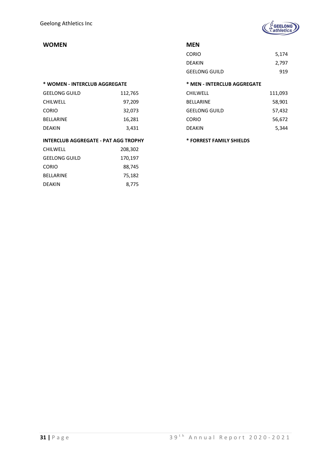

### **WOMEN MEN**

### **\* WOMEN - INTERCLUB AGGREGATE \* MEN - INTERCLUB AGGREGATE**

| <b>GEELONG GUILD</b> | 112,765 |
|----------------------|---------|
| <b>CHILWELL</b>      | 97,209  |
| <b>CORIO</b>         | 32,073  |
| <b>BELLARINE</b>     | 16,281  |
| DEAKIN               | 3,431   |

#### **INTERCLUB AGGREGATE - PAT AGG TROPHY \* FORREST FAMILY SHIELDS**

| CHILWELL      | 208,302 |
|---------------|---------|
| GEELONG GUILD | 170,197 |
| CORIO         | 88,745  |
| BELLARINE     | 75,182  |
| DEAKIN        | 8,775   |

| <b>CORIO</b>         | 5,174 |
|----------------------|-------|
| <b>DEAKIN</b>        | 2,797 |
| <b>GEELONG GUILD</b> | 919   |

| 112,765 | <b>CHILWELL</b>      | 111,093 |
|---------|----------------------|---------|
| 97,209  | <b>BELLARINE</b>     | 58,901  |
| 32,073  | <b>GEELONG GUILD</b> | 57,432  |
| 16,281  | <b>CORIO</b>         | 56,672  |
| 3,431   | <b>DEAKIN</b>        | 5,344   |
|         |                      |         |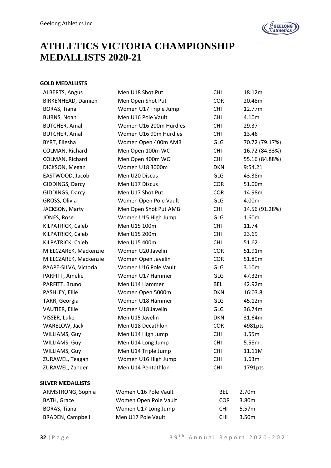

## **ATHLETICS VICTORIA CHAMPIONSHIP MEDALLISTS 2020-21**

### **GOLD MEDALLISTS**

| ALBERTS, Angus            | Men U18 Shot Put       | <b>CHI</b> | 18.12m         |
|---------------------------|------------------------|------------|----------------|
| <b>BIRKENHEAD, Damien</b> | Men Open Shot Put      | <b>COR</b> | 20.48m         |
| BORAS, Tiana              | Women U17 Triple Jump  | <b>CHI</b> | 12.77m         |
| <b>BURNS, Noah</b>        | Men U16 Pole Vault     | <b>CHI</b> | 4.10m          |
| <b>BUTCHER, Amali</b>     | Women U16 200m Hurdles | <b>CHI</b> | 29.37          |
| <b>BUTCHER, Amali</b>     | Women U16 90m Hurdles  | <b>CHI</b> | 13.46          |
| BYRT, Eliesha             | Women Open 400m AMB    | GLG        | 70.72 (79.17%) |
| COLMAN, Richard           | Men Open 100m WC       | <b>CHI</b> | 16.72 (84.33%) |
| COLMAN, Richard           | Men Open 400m WC       | <b>CHI</b> | 55.16 (84.88%) |
| DICKSON, Megan            | Women U18 3000m        | <b>DKN</b> | 9:54.21        |
| EASTWOOD, Jacob           | Men U20 Discus         | <b>GLG</b> | 43.38m         |
| GIDDINGS, Darcy           | Men U17 Discus         | <b>COR</b> | 51.00m         |
| GIDDINGS, Darcy           | Men U17 Shot Put       | <b>COR</b> | 14.98m         |
| GROSS, Olivia             | Women Open Pole Vault  | GLG        | 4.00m          |
| JACKSON, Marty            | Men Open Shot Put AMB  | <b>CHI</b> | 14.56 (91.28%) |
| JONES, Rose               | Women U15 High Jump    | <b>GLG</b> | 1.60m          |
| KILPATRICK, Caleb         | Men U15 100m           | <b>CHI</b> | 11.74          |
| KILPATRICK, Caleb         | Men U15 200m           | <b>CHI</b> | 23.69          |
| KILPATRICK, Caleb         | Men U15 400m           | <b>CHI</b> | 51.62          |
| MIELCZAREK, Mackenzie     | Women U20 Javelin      | <b>COR</b> | 51.91m         |
| MIELCZAREK, Mackenzie     | Women Open Javelin     | <b>COR</b> | 51.89m         |
| PAAPE-SILVA, Victoria     | Women U16 Pole Vault   | <b>GLG</b> | 3.10m          |
| PARFITT, Amelie           | Women U17 Hammer       | <b>GLG</b> | 47.32m         |
| PARFITT, Bruno            | Men U14 Hammer         | <b>BEL</b> | 42.92m         |
| PASHLEY, Ellie            | Women Open 5000m       | <b>DKN</b> | 16:03.8        |
| TARR, Georgia             | Women U18 Hammer       | <b>GLG</b> | 45.12m         |
| VAUTIER, Ellie            | Women U18 Javelin      | <b>GLG</b> | 36.74m         |
| VISSER, Luke              | Men U15 Javelin        | <b>DKN</b> | 31.64m         |
| WARELOW, Jack             | Men U18 Decathlon      | <b>COR</b> | 4981pts        |
| WILLIAMS, Guy             | Men U14 High Jump      | <b>CHI</b> | 1.55m          |
| WILLIAMS, Guy             | Men U14 Long Jump      | <b>CHI</b> | 5.58m          |
| WILLIAMS, Guy             | Men U14 Triple Jump    | <b>CHI</b> | 11.11M         |
| ZURAWEL, Teagan           | Women U16 High Jump    | <b>CHI</b> | 1.63m          |
| ZURAWEL, Zander           | Men U14 Pentathlon     | <b>CHI</b> | 1791pts        |
| <b>SILVER MEDALLISTS</b>  |                        |            |                |
| ARMSTRONG, Sophia         | Women U16 Pole Vault   | <b>BEL</b> | 2.70m          |
| <b>BATH, Grace</b>        | Women Open Pole Vault  | <b>COR</b> | 3.80m          |
| BORAS, Tiana              | Women U17 Long Jump    | <b>CHI</b> | 5.57m          |
| <b>BRADEN, Campbell</b>   | Men U17 Pole Vault     | <b>CHI</b> | 3.50m          |
|                           |                        |            |                |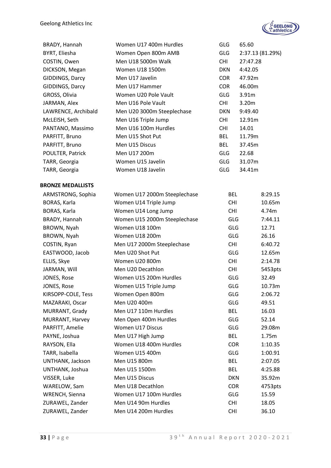

| BRADY, Hannah            | Women U17 400m Hurdles       | GLG        | 65.60    |                  |
|--------------------------|------------------------------|------------|----------|------------------|
| BYRT, Eliesha            | Women Open 800m AMB          | <b>GLG</b> |          | 2:37.13 (81.29%) |
| COSTIN, Owen             | Men U18 5000m Walk           | <b>CHI</b> | 27:47.28 |                  |
| DICKSON, Megan           | Women U18 1500m              | DKN        | 4:42.05  |                  |
| GIDDINGS, Darcy          | Men U17 Javelin              | COR        | 47.92m   |                  |
| GIDDINGS, Darcy          | Men U17 Hammer               | <b>COR</b> | 46.00m   |                  |
| GROSS, Olivia            | Women U20 Pole Vault         | <b>GLG</b> | 3.91m    |                  |
| JARMAN, Alex             | Men U16 Pole Vault           | <b>CHI</b> | 3.20m    |                  |
| LAWRENCE, Archibald      | Men U20 3000m Steeplechase   | DKN        | 9:49.40  |                  |
| McLEISH, Seth            | Men U16 Triple Jump          | CHI        | 12.91m   |                  |
| PANTANO, Massimo         | Men U16 100m Hurdles         | <b>CHI</b> | 14.01    |                  |
| PARFITT, Bruno           | Men U15 Shot Put             | <b>BEL</b> | 11.79m   |                  |
| PARFITT, Bruno           | Men U15 Discus               | <b>BEL</b> | 37.45m   |                  |
| POULTER, Patrick         | Men U17 200m                 | <b>GLG</b> | 22.68    |                  |
| TARR, Georgia            | Women U15 Javelin            | <b>GLG</b> | 31.07m   |                  |
| TARR, Georgia            | Women U18 Javelin            | <b>GLG</b> | 34.41m   |                  |
| <b>BRONZE MEDALLISTS</b> |                              |            |          |                  |
| ARMSTRONG, Sophia        | Women U17 2000m Steeplechase | <b>BEL</b> |          | 8:29.15          |
| BORAS, Karla             | Women U14 Triple Jump        | <b>CHI</b> |          | 10.65m           |
| BORAS, Karla             | Women U14 Long Jump          | <b>CHI</b> |          | 4.74m            |
| BRADY, Hannah            | Women U15 2000m Steeplechase | <b>GLG</b> |          | 7:44.11          |
| BROWN, Nyah              | Women U18 100m               | <b>GLG</b> |          | 12.71            |
| BROWN, Nyah              | Women U18 200m               | <b>GLG</b> |          | 26.16            |
| COSTIN, Ryan             | Men U17 2000m Steeplechase   | <b>CHI</b> |          | 6:40.72          |
| EASTWOOD, Jacob          | Men U20 Shot Put             | <b>GLG</b> |          | 12.65m           |
| ELLIS, Skye              | Women U20 800m               | <b>CHI</b> |          | 2:14.78          |
| JARMAN, Will             | Men U20 Decathlon            | <b>CHI</b> |          | 5453pts          |
| JONES, Rose              | Women U15 200m Hurdles       | <b>GLG</b> |          | 32.49            |
| JONES, Rose              | Women U15 Triple Jump        | <b>GLG</b> |          | 10.73m           |
| KIRSOPP-COLE, Tess       | Women Open 800m              | GLG        |          | 2:06.72          |
| MAZARAKI, Oscar          | Men U20 400m                 | GLG        |          | 49.51            |
| MURRANT, Grady           | Men U17 110m Hurdles         | <b>BEL</b> |          | 16.03            |
| MURRANT, Harvey          | Men Open 400m Hurdles        | <b>GLG</b> |          | 52.14            |
| PARFITT, Amelie          | Women U17 Discus             | <b>GLG</b> |          | 29.08m           |
| PAYNE, Joshua            | Men U17 High Jump            | <b>BEL</b> |          | 1.75m            |
| RAYSON, Ella             | Women U18 400m Hurdles       | <b>COR</b> |          | 1:10.35          |
| TARR, Isabella           | Women U15 400m               | <b>GLG</b> |          | 1:00.91          |
| UNTHANK, Jackson         | Men U15 800m                 | <b>BEL</b> |          | 2:07.05          |
| UNTHANK, Joshua          | Men U15 1500m                | <b>BEL</b> |          | 4:25.88          |
| VISSER, Luke             | Men U15 Discus               | <b>DKN</b> |          | 35.92m           |
| WARELOW, Sam             | Men U18 Decathlon            | <b>COR</b> |          | 4753pts          |
| WRENCH, Sienna           | Women U17 100m Hurdles       | <b>GLG</b> |          | 15.59            |
| ZURAWEL, Zander          | Men U14 90m Hurdles          | <b>CHI</b> |          | 18.05            |
| ZURAWEL, Zander          | Men U14 200m Hurdles         | <b>CHI</b> |          | 36.10            |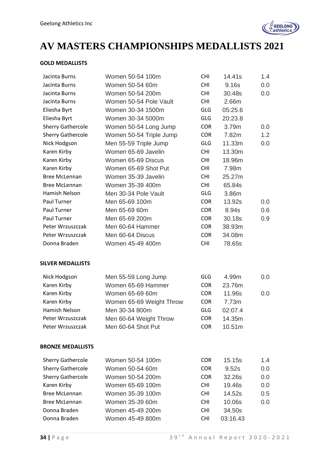

## **AV MASTERS CHAMPIONSHIPS MEDALLISTS 2021**

#### **GOLD MEDALLISTS**

| Jacinta Burns            | Women 50-54 100m         | <b>CHI</b> | 14.41s   | 1.4 |
|--------------------------|--------------------------|------------|----------|-----|
| Jacinta Burns            | Women 50-54 60m          | <b>CHI</b> | 9.16s    | 0.0 |
| Jacinta Burns            | Women 50-54 200m         | <b>CHI</b> | 30.48s   | 0.0 |
| Jacinta Burns            | Women 50-54 Pole Vault   | <b>CHI</b> | 2.66m    |     |
| Eliesha Byrt             | Women 30-34 1500m        | GLG        | 05:25.6  |     |
| Eliesha Byrt             | Women 30-34 5000m        | <b>GLG</b> | 20:23.8  |     |
| <b>Sherry Gathercole</b> | Women 50-54 Long Jump    | <b>COR</b> | 3.79m    | 0.0 |
| <b>Sherry Gathercole</b> | Women 50-54 Triple Jump  | <b>COR</b> | 7.82m    | 1.2 |
| Nick Hodgson             | Men 55-59 Triple Jump    | <b>GLG</b> | 11.33m   | 0.0 |
| Karen Kirby              | Women 65-69 Javelin      | <b>CHI</b> | 13.30m   |     |
| Karen Kirby              | Women 65-69 Discus       | <b>CHI</b> | 18.96m   |     |
| Karen Kirby              | Women 65-69 Shot Put     | <b>CHI</b> | 7.98m    |     |
| <b>Bree McLennan</b>     | Women 35-39 Javelin      | <b>CHI</b> | 25.27m   |     |
| <b>Bree McLennan</b>     | Women 35-39 400m         | <b>CHI</b> | 65.84s   |     |
| Hamish Nelson            | Men 30-34 Pole Vault     | <b>GLG</b> | 3.86m    |     |
| Paul Turner              | Men 65-69 100m           | <b>COR</b> | 13.92s   | 0.0 |
| Paul Turner              | Men 65-69 60m            | <b>COR</b> | 8.94s    | 0.6 |
| Paul Turner              | Men 65-69 200m           | <b>COR</b> | 30.18s   | 0.9 |
| Peter Wrzuszczak         | Men 60-64 Hammer         | <b>COR</b> | 38.93m   |     |
| Peter Wrzuszczak         | Men 60-64 Discus         | <b>COR</b> | 34.08m   |     |
| Donna Braden             | Women 45-49 400m         | <b>CHI</b> | 78.65s   |     |
| <b>SILVER MEDALLISTS</b> |                          |            |          |     |
| Nick Hodgson             | Men 55-59 Long Jump      | <b>GLG</b> | 4.99m    | 0.0 |
| Karen Kirby              | Women 65-69 Hammer       | <b>COR</b> | 23.76m   |     |
| Karen Kirby              | Women 65-69 60m          | <b>COR</b> | 11.96s   | 0.0 |
| Karen Kirby              | Women 65-69 Weight Throw | <b>COR</b> | 7.73m    |     |
| Hamish Nelson            | Men 30-34 800m           | GLG        | 02:07.4  |     |
| Peter Wrzuszczak         | Men 60-64 Weight Throw   | <b>COR</b> | 14.35m   |     |
| Peter Wrzuszczak         | Men 60-64 Shot Put       | <b>COR</b> | 10.51m   |     |
| <b>BRONZE MEDALLISTS</b> |                          |            |          |     |
| <b>Sherry Gathercole</b> | Women 50-54 100m         | <b>COR</b> | 15.15s   | 1.4 |
| <b>Sherry Gathercole</b> | Women 50-54 60m          | <b>COR</b> | 9.52s    | 0.0 |
| <b>Sherry Gathercole</b> | Women 50-54 200m         | <b>COR</b> | 32.26s   | 0.0 |
| Karen Kirby              | Women 65-69 100m         | <b>CHI</b> | 19.46s   | 0.0 |
| <b>Bree McLennan</b>     | Women 35-39 100m         | <b>CHI</b> | 14.52s   | 0.5 |
| <b>Bree McLennan</b>     | Women 35-39 60m          | <b>CHI</b> | 10.06s   | 0.0 |
| Donna Braden             | Women 45-49 200m         | <b>CHI</b> | 34.50s   |     |
| Donna Braden             | Women 45-49 800m         | <b>CHI</b> | 03:16.43 |     |